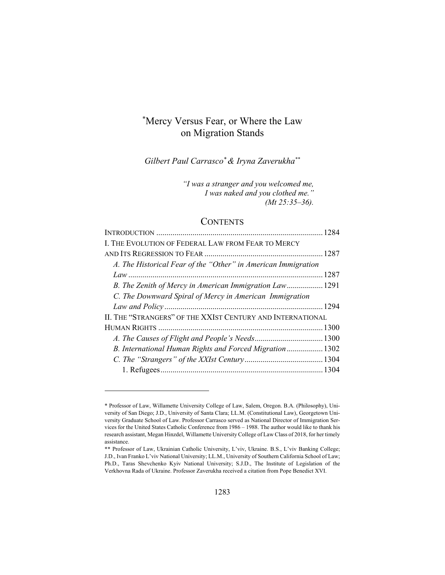# \* Mercy Versus Fear, or Where the Law on Migration Stands

*Gilbert Paul Carrasco\*& Iryna Zaverukha\*\**

*"I was a stranger and you welcomed me, I was naked and you clothed me." (Mt 25:35–36).* 

## **CONTENTS**

| A. The Historical Fear of the "Other" in American Immigration |
|---------------------------------------------------------------|
|                                                               |
|                                                               |
|                                                               |
|                                                               |
| II. THE "STRANGERS" OF THE XXIST CENTURY AND INTERNATIONAL    |
|                                                               |
|                                                               |
| B. International Human Rights and Forced Migration  1302      |
|                                                               |
|                                                               |
|                                                               |

<sup>\*</sup> Professor of Law, Willamette University College of Law, Salem, Oregon. B.A. (Philosophy), University of San Diego; J.D., University of Santa Clara; LL.M. (Constitutional Law), Georgetown University Graduate School of Law. Professor Carrasco served as National Director of Immigration Services for the United States Catholic Conference from 1986 – 1988. The author would like to thank his research assistant, Megan Hinzdel, Willamette University College of Law Class of 2018, for her timely assistance.

<sup>\*\*</sup> Professor of Law, Ukrainian Catholic University, L'viv, Ukraine. B.S., L'viv Banking College; J.D., Ivan Franko L'viv National University; LL.M., University of Southern California School of Law; Ph.D., Taras Shevchenko Kyiv National University; S.J.D., The Institute of Legislation of the Verkhovna Rada of Ukraine. Professor Zaverukha received a citation from Pope Benedict XVI.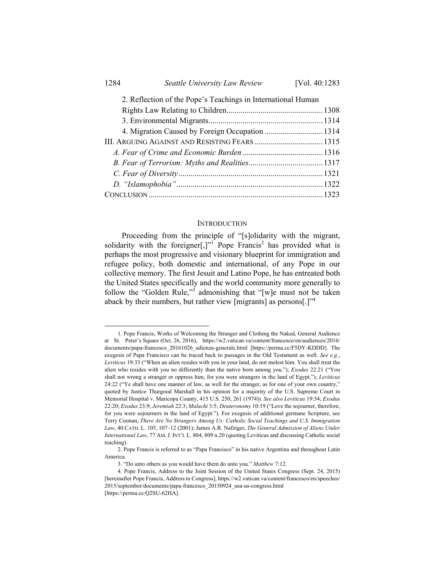| 1284                                                         | Seattle University Law Review                   | [Vol. 40:1283] |
|--------------------------------------------------------------|-------------------------------------------------|----------------|
| 2. Reflection of the Pope's Teachings in International Human |                                                 |                |
|                                                              |                                                 |                |
|                                                              |                                                 |                |
|                                                              | 4. Migration Caused by Foreign Occupation  1314 |                |
|                                                              |                                                 |                |
|                                                              |                                                 |                |
|                                                              |                                                 |                |
|                                                              |                                                 |                |
|                                                              |                                                 |                |
|                                                              |                                                 |                |

#### **INTRODUCTION**

Proceeding from the principle of "[s]olidarity with the migrant, solidarity with the foreigner $\left[\cdot\right]$ <sup>"1</sup> Pope Francis<sup>2</sup> has provided what is perhaps the most progressive and visionary blueprint for immigration and refugee policy, both domestic and international, of any Pope in our collective memory. The first Jesuit and Latino Pope, he has entreated both the United States specifically and the world community more generally to follow the "Golden Rule,"<sup>3</sup> admonishing that "[w]e must not be taken aback by their numbers, but rather view [migrants] as persons[.]"4

 <sup>1.</sup> Pope Francis, Works of Welcoming the Stranger and Clothing the Naked, General Audience at St. Peter's Square (Oct. 26, 2016), https://w2.vatican.va/content/francesco/en/audiences/2016/ documents/papa-francesco\_20161026\_udienza-generale.html [https://perma.cc/F5DY-KDDD]. The exegesis of Papa Francisco can be traced back to passages in the Old Testament as well. *See e.g.*, *Leviticus* 19:33 ("When an alien resides with you in your land, do not molest him. You shall treat the alien who resides with you no differently than the native born among you."); *Exodus* 22:21 ("You shall not wrong a stranger or oppress him, for you were strangers in the land of Egypt."); *Leviticus* 24:22 ("Ye shall have one manner of law, as well for the stranger, as for one of your own country," quoted by Justice Thurgood Marshall in his opinion for a majority of the U.S. Supreme Court in Memorial Hospital v. Maricopa County, 415 U.S. 250, 261 (1974)). *See also Leviticus* 19:34; *Exodus* 22:20; *Exodus* 23:9; *Jeremiah* 22:3; *Malachi* 3:5; *Deuteronomy* 10:19 ("Love the sojourner, therefore, for you were sojourners in the land of Egypt."). For exegesis of additional germane Scripture, see Terry Coonan, *There Are No Strangers Among Us: Catholic Social Teachings and U.S. Immigration Law*, 40 CATH. L. 105, 107–12 (2001); James A.R. Nafziger, *The General Admission of Aliens Under International Law*, 77 AM.J. INT'L L. 804, 809 n.20 (quoting Leviticus and discussing Catholic social teaching).

 <sup>2.</sup> Pope Francis is referred to as "Papa Francisco" in his native Argentina and throughout Latin America.

 <sup>3. &</sup>quot;Do unto others as you would have them do unto you." *Matthew* 7:12.

 <sup>4.</sup> Pope Francis, Address to the Joint Session of the United States Congress (Sept. 24, 2015) [hereinafter Pope Francis, Address to Congress], https://w2.vatican.va/content/francesco/en/speeches/ 2015/september/documents/papa-francesco\_20150924\_usa-us-congress.html [https://perma.cc/Q2SU-62HA].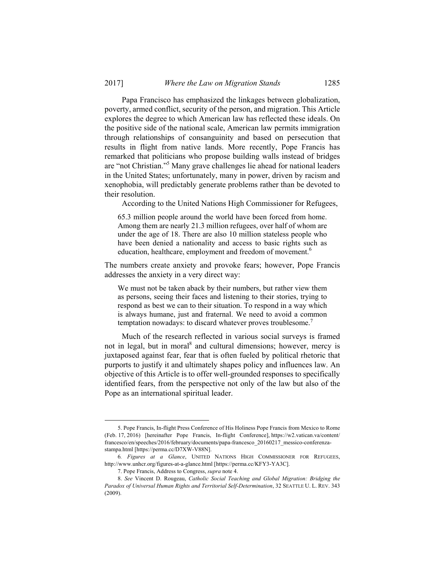Papa Francisco has emphasized the linkages between globalization, poverty, armed conflict, security of the person, and migration. This Article explores the degree to which American law has reflected these ideals. On the positive side of the national scale, American law permits immigration through relationships of consanguinity and based on persecution that results in flight from native lands. More recently, Pope Francis has remarked that politicians who propose building walls instead of bridges are "not Christian."5 Many grave challenges lie ahead for national leaders in the United States; unfortunately, many in power, driven by racism and xenophobia, will predictably generate problems rather than be devoted to their resolution.

According to the United Nations High Commissioner for Refugees,

65.3 million people around the world have been forced from home. Among them are nearly 21.3 million refugees, over half of whom are under the age of 18. There are also 10 million stateless people who have been denied a nationality and access to basic rights such as education, healthcare, employment and freedom of movement.<sup>6</sup>

The numbers create anxiety and provoke fears; however, Pope Francis addresses the anxiety in a very direct way:

We must not be taken aback by their numbers, but rather view them as persons, seeing their faces and listening to their stories, trying to respond as best we can to their situation. To respond in a way which is always humane, just and fraternal. We need to avoid a common temptation nowadays: to discard whatever proves troublesome.<sup>7</sup>

Much of the research reflected in various social surveys is framed not in legal, but in moral<sup>8</sup> and cultural dimensions; however, mercy is juxtaposed against fear, fear that is often fueled by political rhetoric that purports to justify it and ultimately shapes policy and influences law. An objective of this Article is to offer well-grounded responses to specifically identified fears, from the perspective not only of the law but also of the Pope as an international spiritual leader.

 <sup>5.</sup> Pope Francis, In-flight Press Conference of His Holiness Pope Francis from Mexico to Rome (Feb. 17, 2016) [hereinafter Pope Francis, In-flight Conference], https://w2.vatican.va/content/ francesco/en/speeches/2016/february/documents/papa-francesco\_20160217\_messico-conferenzastampa.html [https://perma.cc/D7XW-V88N].

<sup>6</sup>*. Figures at a Glance*, UNITED NATIONS HIGH COMMISSIONER FOR REFUGEES, http://www.unhcr.org/figures-at-a-glance.html [https://perma.cc/KFY3-YA3C].

 <sup>7.</sup> Pope Francis, Address to Congress, *supra* note 4.

 <sup>8.</sup> *See* Vincent D. Rougeau, *Catholic Social Teaching and Global Migration: Bridging the Paradox of Universal Human Rights and Territorial Self-Determination*, 32 SEATTLE U. L. REV. 343 (2009).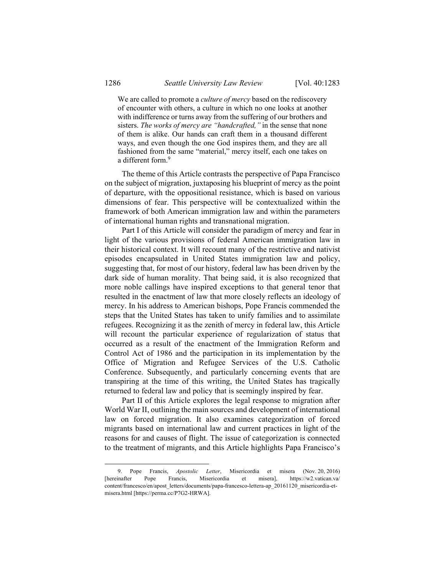We are called to promote a *culture of mercy* based on the rediscovery of encounter with others, a culture in which no one looks at another with indifference or turns away from the suffering of our brothers and sisters. *The works of mercy are "handcrafted,"* in the sense that none of them is alike. Our hands can craft them in a thousand different ways, and even though the one God inspires them, and they are all fashioned from the same "material," mercy itself, each one takes on a different form.<sup>9</sup>

The theme of this Article contrasts the perspective of Papa Francisco on the subject of migration, juxtaposing his blueprint of mercy as the point of departure, with the oppositional resistance, which is based on various dimensions of fear. This perspective will be contextualized within the framework of both American immigration law and within the parameters of international human rights and transnational migration.

Part I of this Article will consider the paradigm of mercy and fear in light of the various provisions of federal American immigration law in their historical context. It will recount many of the restrictive and nativist episodes encapsulated in United States immigration law and policy, suggesting that, for most of our history, federal law has been driven by the dark side of human morality. That being said, it is also recognized that more noble callings have inspired exceptions to that general tenor that resulted in the enactment of law that more closely reflects an ideology of mercy. In his address to American bishops, Pope Francis commended the steps that the United States has taken to unify families and to assimilate refugees. Recognizing it as the zenith of mercy in federal law, this Article will recount the particular experience of regularization of status that occurred as a result of the enactment of the Immigration Reform and Control Act of 1986 and the participation in its implementation by the Office of Migration and Refugee Services of the U.S. Catholic Conference. Subsequently, and particularly concerning events that are transpiring at the time of this writing, the United States has tragically returned to federal law and policy that is seemingly inspired by fear.

Part II of this Article explores the legal response to migration after World War II, outlining the main sources and development of international law on forced migration. It also examines categorization of forced migrants based on international law and current practices in light of the reasons for and causes of flight. The issue of categorization is connected to the treatment of migrants, and this Article highlights Papa Francisco's

 <sup>9.</sup> Pope Francis, *Apostolic Letter*, Misericordia et misera (Nov. 20, 2016) [hereinafter Pope Francis, Misericordia et misera], https://w2.vatican.va/ content/francesco/en/apost\_letters/documents/papa-francesco-lettera-ap\_20161120\_misericordia-etmisera.html [https://perma.cc/P7G2-HRWA].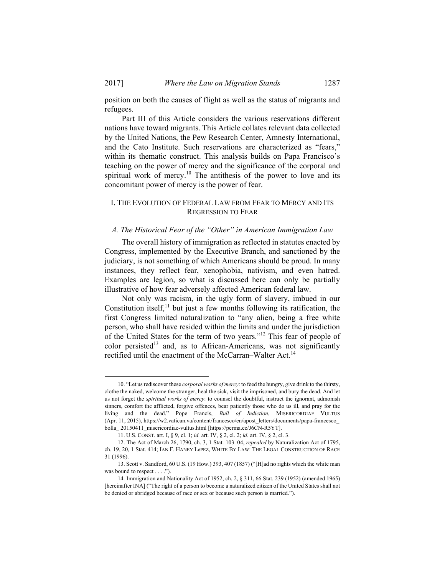position on both the causes of flight as well as the status of migrants and refugees.

Part III of this Article considers the various reservations different nations have toward migrants. This Article collates relevant data collected by the United Nations, the Pew Research Center, Amnesty International, and the Cato Institute. Such reservations are characterized as "fears," within its thematic construct. This analysis builds on Papa Francisco's teaching on the power of mercy and the significance of the corporal and spiritual work of mercy.<sup>10</sup> The antithesis of the power to love and its concomitant power of mercy is the power of fear.

## I. THE EVOLUTION OF FEDERAL LAW FROM FEAR TO MERCY AND ITS REGRESSION TO FEAR

## *A. The Historical Fear of the "Other" in American Immigration Law*

The overall history of immigration as reflected in statutes enacted by Congress, implemented by the Executive Branch, and sanctioned by the judiciary, is not something of which Americans should be proud. In many instances, they reflect fear, xenophobia, nativism, and even hatred. Examples are legion, so what is discussed here can only be partially illustrative of how fear adversely affected American federal law.

Not only was racism, in the ugly form of slavery, imbued in our Constitution itself, $^{11}$  but just a few months following its ratification, the first Congress limited naturalization to "any alien, being a free white person, who shall have resided within the limits and under the jurisdiction of the United States for the term of two years."12 This fear of people of color persisted<sup>13</sup> and, as to African-Americans, was not significantly rectified until the enactment of the McCarran–Walter Act.<sup>14</sup>

 <sup>10. &</sup>quot;Let us rediscover these *corporal works of mercy*: to feed the hungry, give drink to the thirsty, clothe the naked, welcome the stranger, heal the sick, visit the imprisoned, and bury the dead. And let us not forget the *spiritual works of mercy*: to counsel the doubtful, instruct the ignorant, admonish sinners, comfort the afflicted, forgive offences, bear patiently those who do us ill, and pray for the living and the dead." Pope Francis, *Bull of Indiction*, MISERICORDIAE VULTUS (Apr. 11, 2015), https://w2.vatican.va/content/francesco/en/apost\_letters/documents/papa-francesco\_ bolla\_20150411\_misericordiae-vultus.html [https://perma.cc/J6CN-R5YT].

 <sup>11.</sup> U.S. CONST. art. I, § 9, cl. 1; *id.* art. IV, § 2, cl. 2; *id.* art. IV, § 2, cl. 3.

 <sup>12.</sup> The Act of March 26, 1790, ch. 3, 1 Stat. 103–04, *repealed* by Naturalization Act of 1795, ch. 19, 20, 1 Stat. 414; IAN F. HANEY LόPEZ, WHITE BY LAW: THE LEGAL CONSTRUCTION OF RACE 31 (1996).

 <sup>13.</sup> Scott v. Sandford, 60 U.S. (19 How.) 393, 407 (1857) ("[H]ad no rights which the white man was bound to respect . . . .").

 <sup>14.</sup> Immigration and Nationality Act of 1952, ch. 2, § 311, 66 Stat. 239 (1952) (amended 1965) [hereinafter INA] ("The right of a person to become a naturalized citizen of the United States shall not be denied or abridged because of race or sex or because such person is married.").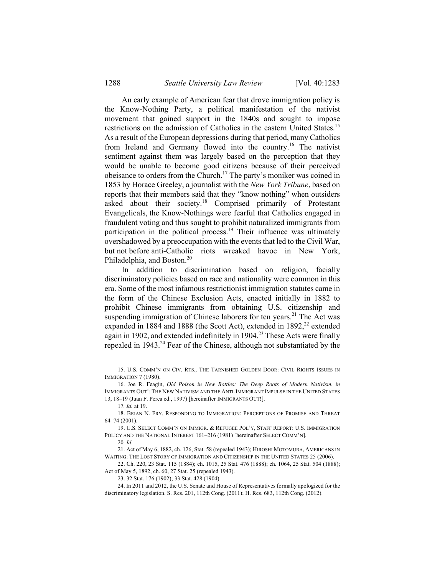An early example of American fear that drove immigration policy is the Know-Nothing Party, a political manifestation of the nativist movement that gained support in the 1840s and sought to impose restrictions on the admission of Catholics in the eastern United States.<sup>15</sup> As a result of the European depressions during that period, many Catholics from Ireland and Germany flowed into the country.16 The nativist sentiment against them was largely based on the perception that they would be unable to become good citizens because of their perceived obeisance to orders from the Church.17 The party's moniker was coined in 1853 by Horace Greeley, a journalist with the *New York Tribune*, based on reports that their members said that they "know nothing" when outsiders asked about their society.<sup>18</sup> Comprised primarily of Protestant Evangelicals, the Know-Nothings were fearful that Catholics engaged in fraudulent voting and thus sought to prohibit naturalized immigrants from participation in the political process.<sup>19</sup> Their influence was ultimately overshadowed by a preoccupation with the events that led to the Civil War, but not before anti-Catholic riots wreaked havoc in New York, Philadelphia, and Boston.<sup>20</sup>

In addition to discrimination based on religion, facially discriminatory policies based on race and nationality were common in this era. Some of the most infamous restrictionist immigration statutes came in the form of the Chinese Exclusion Acts, enacted initially in 1882 to prohibit Chinese immigrants from obtaining U.S. citizenship and suspending immigration of Chinese laborers for ten years.<sup>21</sup> The Act was expanded in 1884 and 1888 (the Scott Act), extended in  $1892$ ,<sup>22</sup> extended again in 1902, and extended indefinitely in 1904.<sup>23</sup> These Acts were finally repealed in 1943.<sup>24</sup> Fear of the Chinese, although not substantiated by the

 <sup>15.</sup> U.S. COMM'N ON CIV. RTS., THE TARNISHED GOLDEN DOOR: CIVIL RIGHTS ISSUES IN IMMIGRATION 7 (1980).

 <sup>16.</sup> Joe R. Feagin, *Old Poison in New Bottles: The Deep Roots of Modern Nativism*, *in* IMMIGRANTS OUT!: THE NEW NATIVISM AND THE ANTI-IMMIGRANT IMPULSE IN THE UNITED STATES 13, 18–19 (Juan F. Perea ed., 1997) [hereinafter IMMIGRANTS OUT!].

<sup>17</sup>*. Id.* at 19.

 <sup>18.</sup> BRIAN N. FRY, RESPONDING TO IMMIGRATION: PERCEPTIONS OF PROMISE AND THREAT 64–74 (2001).

 <sup>19.</sup> U.S. SELECT COMM'N ON IMMIGR. & REFUGEE POL'Y, STAFF REPORT: U.S. IMMIGRATION POLICY AND THE NATIONAL INTEREST 161–216 (1981) [hereinafter SELECT COMM'N].

<sup>20</sup>*. Id.*

 <sup>21.</sup> Act of May 6, 1882, ch. 126, Stat. 58 (repealed 1943); HIROSHI MOTOMURA, AMERICANS IN WAITING: THE LOST STORY OF IMMIGRATION AND CITIZENSHIP IN THE UNITED STATES 25 (2006).

 <sup>22.</sup> Ch. 220, 23 Stat. 115 (1884); ch. 1015, 25 Stat. 476 (1888); ch. 1064, 25 Stat. 504 (1888); Act of May 5, 1892, ch. 60, 27 Stat. 25 (repealed 1943).

 <sup>23. 32</sup> Stat. 176 (1902); 33 Stat. 428 (1904).

 <sup>24.</sup> In 2011 and 2012, the U.S. Senate and House of Representatives formally apologized for the discriminatory legislation. S. Res. 201, 112th Cong. (2011); H. Res. 683, 112th Cong. (2012).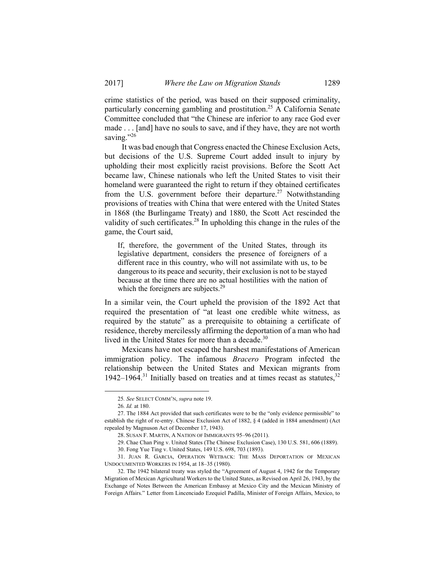crime statistics of the period, was based on their supposed criminality, particularly concerning gambling and prostitution.<sup>25</sup> A California Senate Committee concluded that "the Chinese are inferior to any race God ever made . . . [and] have no souls to save, and if they have, they are not worth saving."26

It was bad enough that Congress enacted the Chinese Exclusion Acts, but decisions of the U.S. Supreme Court added insult to injury by upholding their most explicitly racist provisions. Before the Scott Act became law, Chinese nationals who left the United States to visit their homeland were guaranteed the right to return if they obtained certificates from the U.S. government before their departure.<sup>27</sup> Notwithstanding provisions of treaties with China that were entered with the United States in 1868 (the Burlingame Treaty) and 1880, the Scott Act rescinded the validity of such certificates.<sup>28</sup> In upholding this change in the rules of the game, the Court said,

If, therefore, the government of the United States, through its legislative department, considers the presence of foreigners of a different race in this country, who will not assimilate with us, to be dangerous to its peace and security, their exclusion is not to be stayed because at the time there are no actual hostilities with the nation of which the foreigners are subjects.<sup>29</sup>

In a similar vein, the Court upheld the provision of the 1892 Act that required the presentation of "at least one credible white witness, as required by the statute" as a prerequisite to obtaining a certificate of residence, thereby mercilessly affirming the deportation of a man who had lived in the United States for more than a decade.<sup>30</sup>

Mexicans have not escaped the harshest manifestations of American immigration policy. The infamous *Bracero* Program infected the relationship between the United States and Mexican migrants from 1942–1964.<sup>31</sup> Initially based on treaties and at times recast as statutes,  $32$ 

 <sup>25</sup>*. See* SELECT COMM'N, *supra* note 19.

<sup>26</sup>*. Id.* at 180.

 <sup>27.</sup> The 1884 Act provided that such certificates were to be the "only evidence permissible" to establish the right of re-entry. Chinese Exclusion Act of 1882, § 4 (added in 1884 amendment) (Act repealed by Magnuson Act of December 17, 1943).

 <sup>28.</sup> SUSAN F. MARTIN, A NATION OF IMMIGRANTS 95–96 (2011).

 <sup>29.</sup> Chae Chan Ping v. United States (The Chinese Exclusion Case), 130 U.S. 581, 606 (1889).

 <sup>30.</sup> Fong Yue Ting v. United States, 149 U.S. 698, 703 (1893).

 <sup>31.</sup> JUAN R. GARCIA, OPERATION WETBACK: THE MASS DEPORTATION OF MEXICAN UNDOCUMENTED WORKERS IN 1954, at 18–35 (1980).

 <sup>32.</sup> The 1942 bilateral treaty was styled the "Agreement of August 4, 1942 for the Temporary Migration of Mexican Agricultural Workers to the United States, as Revised on April 26, 1943, by the Exchange of Notes Between the American Embassy at Mexico City and the Mexican Ministry of Foreign Affairs." Letter from Lincenciado Ezequiel Padilla, Minister of Foreign Affairs, Mexico, to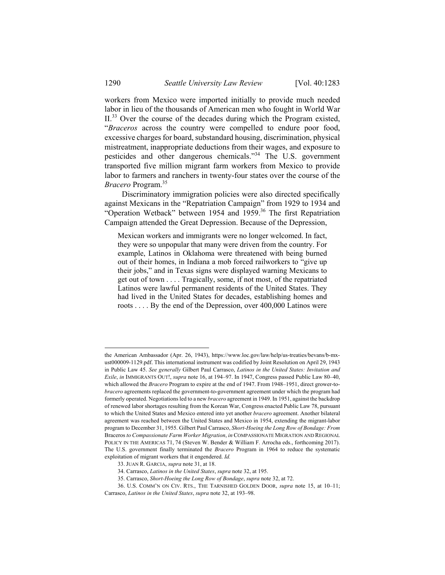workers from Mexico were imported initially to provide much needed labor in lieu of the thousands of American men who fought in World War II.<sup>33</sup> Over the course of the decades during which the Program existed, "*Braceros* across the country were compelled to endure poor food, excessive charges for board, substandard housing, discrimination, physical mistreatment, inappropriate deductions from their wages, and exposure to pesticides and other dangerous chemicals."34 The U.S. government transported five million migrant farm workers from Mexico to provide labor to farmers and ranchers in twenty-four states over the course of the *Bracero* Program.<sup>35</sup>

Discriminatory immigration policies were also directed specifically against Mexicans in the "Repatriation Campaign" from 1929 to 1934 and "Operation Wetback" between 1954 and 1959.<sup>36</sup> The first Repatriation Campaign attended the Great Depression. Because of the Depression,

Mexican workers and immigrants were no longer welcomed. In fact, they were so unpopular that many were driven from the country. For example, Latinos in Oklahoma were threatened with being burned out of their homes, in Indiana a mob forced railworkers to "give up their jobs," and in Texas signs were displayed warning Mexicans to get out of town . . . . Tragically, some, if not most, of the repatriated Latinos were lawful permanent residents of the United States. They had lived in the United States for decades, establishing homes and roots . . . . By the end of the Depression, over 400,000 Latinos were

the American Ambassador (Apr. 26, 1943), https://www.loc.gov/law/help/us-treaties/bevans/b-mxust000009-1129.pdf. This international instrument was codified by Joint Resolution on April 29, 1943 in Public Law 45. *See generally* Gilbert Paul Carrasco, *Latinos in the United States: Invitation and Exile*, *in* IMMIGRANTS OUT!, *supra* note 16, at 194–97. In 1947, Congress passed Public Law 80–40, which allowed the *Bracero* Program to expire at the end of 1947. From 1948–1951, direct grower-to*bracero* agreements replaced the government-to-government agreement under which the program had formerly operated. Negotiations led to a new *bracero* agreement in 1949. In 1951, against the backdrop of renewed labor shortages resulting from the Korean War, Congress enacted Public Law 78, pursuant to which the United States and Mexico entered into yet another *bracero* agreement. Another bilateral agreement was reached between the United States and Mexico in 1954, extending the migrant-labor program to December 31, 1955. Gilbert Paul Carrasco, *Short-Hoeing the Long Row of Bondage: From*  Braceros *to Compassionate Farm Worker Migration*, *in* COMPASSIONATE MIGRATION AND REGIONAL POLICY IN THE AMERICAS 71, 74 (Steven W. Bender & William F. Arrocha eds., forthcoming 2017). The U.S. government finally terminated the *Bracero* Program in 1964 to reduce the systematic exploitation of migrant workers that it engendered. *Id.* 

 <sup>33.</sup> JUAN R. GARCIA, *supra* note 31, at 18.

 <sup>34.</sup> Carrasco, *Latinos in the United States*, *supra* note 32, at 195.

 <sup>35.</sup> Carrasco, *Short-Hoeing the Long Row of Bondage*, *supra* note 32, at 72.

 <sup>36.</sup> U.S. COMM'N ON CIV. RTS., THE TARNISHED GOLDEN DOOR, *supra* note 15, at 10–11; Carrasco, *Latinos in the United States*, *supra* note 32, at 193–98.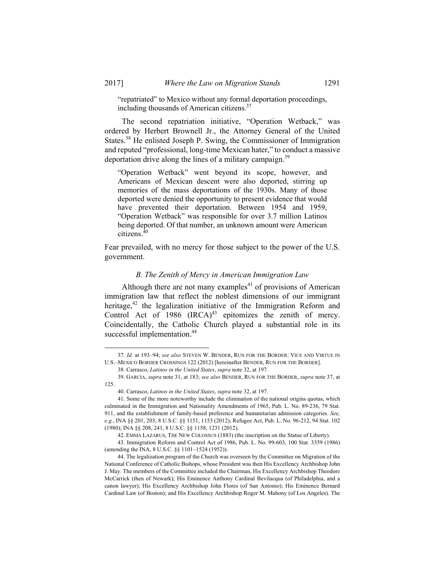"repatriated" to Mexico without any formal deportation proceedings, including thousands of American citizens.<sup>37</sup>

The second repatriation initiative, "Operation Wetback," was ordered by Herbert Brownell Jr., the Attorney General of the United States.38 He enlisted Joseph P. Swing, the Commissioner of Immigration and reputed "professional, long-time Mexican hater," to conduct a massive deportation drive along the lines of a military campaign.<sup>39</sup>

"Operation Wetback" went beyond its scope, however, and Americans of Mexican descent were also deported, stirring up memories of the mass deportations of the 1930s. Many of those deported were denied the opportunity to present evidence that would have prevented their deportation. Between 1954 and 1959, "Operation Wetback" was responsible for over 3.7 million Latinos being deported. Of that number, an unknown amount were American citizens.<sup>40</sup>

Fear prevailed, with no mercy for those subject to the power of the U.S. government.

#### *B. The Zenith of Mercy in American Immigration Law*

Although there are not many examples<sup>41</sup> of provisions of American immigration law that reflect the noblest dimensions of our immigrant heritage, $42$  the legalization initiative of the Immigration Reform and Control Act of  $1986$  (IRCA)<sup>43</sup> epitomizes the zenith of mercy. Coincidentally, the Catholic Church played a substantial role in its successful implementation.<sup>44</sup>

 <sup>37</sup>*. Id.* at 193–94; *see also* STEVEN W. BENDER, RUN FOR THE BORDER: VICE AND VIRTUE IN U.S.–MEXICO BORDER CROSSINGS 122 (2012) [hereinafter BENDER, RUN FOR THE BORDER].

 <sup>38.</sup> Carrasco, *Latinos in the United States*, *supra* note 32, at 197.

 <sup>39.</sup> GARCIA, *supra* note 31, at 183; *see also* BENDER, RUN FOR THE BORDER, *supra* note 37, at 125.

 <sup>40.</sup> Carrasco, *Latinos in the United States*, *supra* note 32, at 197.

 <sup>41.</sup> Some of the more noteworthy include the elimination of the national origins quotas, which culminated in the Immigration and Nationality Amendments of 1965, Pub. L. No. 89-236, 79 Stat. 911, and the establishment of family-based preference and humanitarian admission categories. *See, e.g.*, INA §§ 201, 203; 8 U.S.C. §§ 1151, 1153 (2012); Refugee Act, Pub. L. No. 96-212, 94 Stat. 102 (1980); INA §§ 208, 241, 8 U.S.C. §§ 1158, 1231 (2012).

 <sup>42.</sup> EMMA LAZARUS, THE NEW COLOSSUS (1883) (the inscription on the Statue of Liberty).

 <sup>43.</sup> Immigration Reform and Control Act of 1986, Pub. L. No. 99-603, 100 Stat. 3359 (1986) (amending the INA, 8 U.S.C. §§ 1101–1524 (1952)).

 <sup>44.</sup> The legalization program of the Church was overseen by the Committee on Migration of the National Conference of Catholic Bishops, whose President was then His Excellency Archbishop John J. May. The members of the Committee included the Chairman, His Excellency Archbishop Theodore McCarrick (then of Newark); His Eminence Anthony Cardinal Bevilacqua (of Philadelphia, and a canon lawyer); His Excellency Archbishop John Flores (of San Antonio); His Eminence Bernard Cardinal Law (of Boston); and His Excellency Archbishop Roger M. Mahony (of Los Angeles). The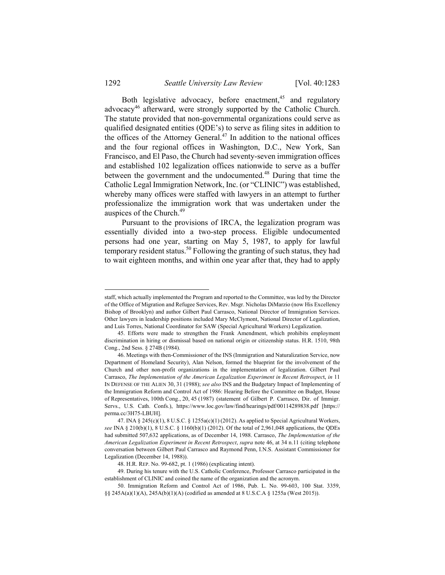Both legislative advocacy, before enactment,<sup>45</sup> and regulatory advocacy<sup>46</sup> afterward, were strongly supported by the Catholic Church. The statute provided that non-governmental organizations could serve as qualified designated entities (QDE's) to serve as filing sites in addition to the offices of the Attorney General.<sup>47</sup> In addition to the national offices and the four regional offices in Washington, D.C., New York, San Francisco, and El Paso, the Church had seventy-seven immigration offices and established 102 legalization offices nationwide to serve as a buffer between the government and the undocumented.<sup>48</sup> During that time the Catholic Legal Immigration Network, Inc. (or "CLINIC") was established, whereby many offices were staffed with lawyers in an attempt to further professionalize the immigration work that was undertaken under the auspices of the Church.<sup>49</sup>

Pursuant to the provisions of IRCA, the legalization program was essentially divided into a two-step process. Eligible undocumented persons had one year, starting on May 5, 1987, to apply for lawful temporary resident status.<sup>50</sup> Following the granting of such status, they had to wait eighteen months, and within one year after that, they had to apply

staff, which actually implemented the Program and reported to the Committee, was led by the Director of the Office of Migration and Refugee Services, Rev. Msgr. Nicholas DiMarzio (now His Excellency Bishop of Brooklyn) and author Gilbert Paul Carrasco, National Director of Immigration Services. Other lawyers in leadership positions included Mary McClymont, National Director of Legalization, and Luis Torres, National Coordinator for SAW (Special Agricultural Workers) Legalization.

 <sup>45.</sup> Efforts were made to strengthen the Frank Amendment, which prohibits employment discrimination in hiring or dismissal based on national origin or citizenship status. H.R. 1510, 98th Cong., 2nd Sess. § 274B (1984).

 <sup>46.</sup> Meetings with then-Commissioner of the INS (Immigration and Naturalization Service, now Department of Homeland Security), Alan Nelson, formed the blueprint for the involvement of the Church and other non-profit organizations in the implementation of legalization. Gilbert Paul Carrasco, *The Implementation of the American Legalization Experiment in Recent Retrospec*t, *in* 11 IN DEFENSE OF THE ALIEN 30, 31 (1988); *see also* INS and the Budgetary Impact of Implementing of the Immigration Reform and Control Act of 1986: Hearing Before the Committee on Budget, House of Representatives, 100th Cong., 20, 45 (1987) (statement of Gilbert P. Carrasco, Dir. of Immigr. Servs., U.S. Cath. Confs.), https://www.loc.gov/law/find/hearings/pdf/00114289838.pdf [https:// perma.cc/3H75-LBUH].

 <sup>47.</sup> INA § 245(c)(1), 8 U.S.C. § 1255a(c)(1) (2012). As applied to Special Agricultural Workers, *see* INA § 210(b)(1), 8 U.S.C. § 1160(b)(1) (2012). Of the total of 2,961,048 applications, the QDEs had submitted 507,632 applications, as of December 14, 1988. Carrasco, *The Implementation of the American Legalization Experiment in Recent Retrospect*, *supra* note 46, at 34 n.11 (citing telephone conversation between Gilbert Paul Carrasco and Raymond Penn, I.N.S. Assistant Commissioner for Legalization (December 14, 1988)).

 <sup>48.</sup> H.R. REP. No. 99-682, pt. 1 (1986) (explicating intent).

 <sup>49.</sup> During his tenure with the U.S. Catholic Conference, Professor Carrasco participated in the establishment of CLINIC and coined the name of the organization and the acronym.

 <sup>50.</sup> Immigration Reform and Control Act of 1986, Pub. L. No. 99-603, 100 Stat. 3359, §§ 245A(a)(1)(A), 245A(b)(1)(A) (codified as amended at 8 U.S.C.A § 1255a (West 2015)).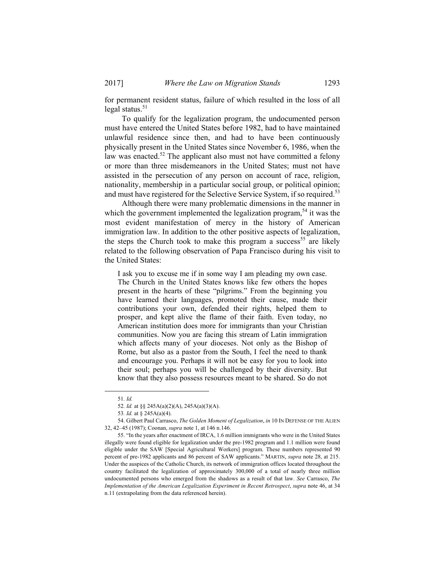for permanent resident status, failure of which resulted in the loss of all legal status. $51$ 

To qualify for the legalization program, the undocumented person must have entered the United States before 1982, had to have maintained unlawful residence since then, and had to have been continuously physically present in the United States since November 6, 1986, when the law was enacted.<sup>52</sup> The applicant also must not have committed a felony or more than three misdemeanors in the United States; must not have assisted in the persecution of any person on account of race, religion, nationality, membership in a particular social group, or political opinion; and must have registered for the Selective Service System, if so required.<sup>53</sup>

Although there were many problematic dimensions in the manner in which the government implemented the legalization program,<sup>54</sup> it was the most evident manifestation of mercy in the history of American immigration law. In addition to the other positive aspects of legalization, the steps the Church took to make this program a success<sup>55</sup> are likely related to the following observation of Papa Francisco during his visit to the United States:

I ask you to excuse me if in some way I am pleading my own case. The Church in the United States knows like few others the hopes present in the hearts of these "pilgrims." From the beginning you have learned their languages, promoted their cause, made their contributions your own, defended their rights, helped them to prosper, and kept alive the flame of their faith. Even today, no American institution does more for immigrants than your Christian communities. Now you are facing this stream of Latin immigration which affects many of your dioceses. Not only as the Bishop of Rome, but also as a pastor from the South, I feel the need to thank and encourage you. Perhaps it will not be easy for you to look into their soul; perhaps you will be challenged by their diversity. But know that they also possess resources meant to be shared. So do not

 <sup>51</sup>*. Id.*

<sup>52</sup>*. Id.* at §§ 245A(a)(2)(A), 245A(a)(3)(A).

<sup>53</sup>*. Id.* at § 245A(a)(4).

 <sup>54.</sup> Gilbert Paul Carrasco, *The Golden Moment of Legalization*, *in* 10 IN DEFENSE OF THE ALIEN 32, 42–45 (1987); Coonan, *supra* note 1, at 146 n.146.

 <sup>55. &</sup>quot;In the years after enactment of IRCA, 1.6 million immigrants who were in the United States illegally were found eligible for legalization under the pre-1982 program and 1.1 million were found eligible under the SAW [Special Agricultural Workers] program. These numbers represented 90 percent of pre-1982 applicants and 86 percent of SAW applicants." MARTIN, *supra* note 28, at 215. Under the auspices of the Catholic Church, its network of immigration offices located throughout the country facilitated the legalization of approximately 300,000 of a total of nearly three million undocumented persons who emerged from the shadows as a result of that law. *See* Carrasco, *The Implementation of the American Legalization Experiment in Recent Retrospect*, *supra* note 46, at 34 n.11 (extrapolating from the data referenced herein).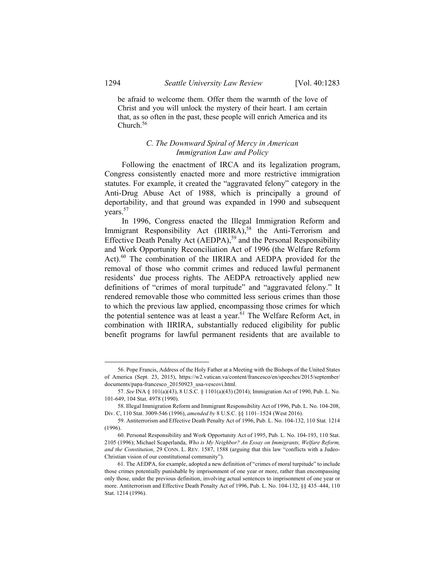be afraid to welcome them. Offer them the warmth of the love of Christ and you will unlock the mystery of their heart. I am certain that, as so often in the past, these people will enrich America and its Church.56

## *C. The Downward Spiral of Mercy in American Immigration Law and Policy*

Following the enactment of IRCA and its legalization program, Congress consistently enacted more and more restrictive immigration statutes. For example, it created the "aggravated felony" category in the Anti-Drug Abuse Act of 1988, which is principally a ground of deportability, and that ground was expanded in 1990 and subsequent years.<sup>57</sup>

In 1996, Congress enacted the Illegal Immigration Reform and Immigrant Responsibility Act (IIRIRA),<sup>58</sup> the Anti-Terrorism and Effective Death Penalty Act (AEDPA),<sup>59</sup> and the Personal Responsibility and Work Opportunity Reconciliation Act of 1996 (the Welfare Reform Act).<sup>60</sup> The combination of the IIRIRA and AEDPA provided for the removal of those who commit crimes and reduced lawful permanent residents' due process rights. The AEDPA retroactively applied new definitions of "crimes of moral turpitude" and "aggravated felony." It rendered removable those who committed less serious crimes than those to which the previous law applied, encompassing those crimes for which the potential sentence was at least a year. $61$  The Welfare Reform Act, in combination with IIRIRA, substantially reduced eligibility for public benefit programs for lawful permanent residents that are available to

 <sup>56.</sup> Pope Francis, Address of the Holy Father at a Meeting with the Bishops of the United States of America (Sept. 23, 2015), https://w2.vatican.va/content/francesco/en/speeches/2015/september/ documents/papa-francesco\_20150923\_usa-vescovi.html.

<sup>57</sup>*. See* INA § 101(a)(43), 8 U.S.C. § 1101(a)(43) (2014); Immigration Act of 1990, Pub. L. No. 101-649, 104 Stat. 4978 (1990).

 <sup>58.</sup> Illegal Immigration Reform and Immigrant Responsibility Act of 1996, Pub. L. No. 104-208, Div. C, 110 Stat. 3009-546 (1996), *amended by* 8 U.S.C. §§ 1101–1524 (West 2016).

 <sup>59.</sup> Antiterrorism and Effective Death Penalty Act of 1996, Pub. L. No. 104-132, 110 Stat. 1214 (1996).

 <sup>60.</sup> Personal Responsibility and Work Opportunity Act of 1995, Pub. L. No. 104-193, 110 Stat. 2105 (1996); Michael Scaperlanda, *Who is My Neighbor? An Essay on Immigrants, Welfare Reform, and the Constitution*, 29 CONN. L. REV. 1587, 1588 (arguing that this law "conflicts with a Judeo-Christian vision of our constitutional community").

 <sup>61.</sup> The AEDPA, for example, adopted a new definition of "crimes of moral turpitude" to include those crimes potentially punishable by imprisonment of one year or more, rather than encompassing only those, under the previous definition, involving actual sentences to imprisonment of one year or more. Antiterrorism and Effective Death Penalty Act of 1996, Pub. L. No. 104-132, §§ 435–444, 110 Stat. 1214 (1996).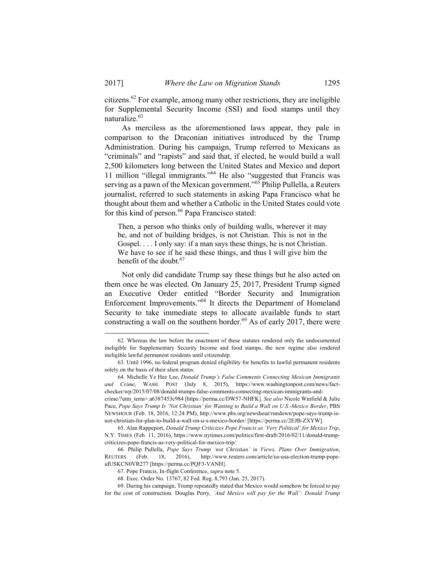citizens.62 For example, among many other restrictions, they are ineligible for Supplemental Security Income (SSI) and food stamps until they naturalize.<sup>63</sup>

As merciless as the aforementioned laws appear, they pale in comparison to the Draconian initiatives introduced by the Trump Administration. During his campaign, Trump referred to Mexicans as "criminals" and "rapists" and said that, if elected, he would build a wall 2,500 kilometers long between the United States and Mexico and deport 11 million "illegal immigrants."64 He also "suggested that Francis was serving as a pawn of the Mexican government."<sup>65</sup> Philip Pullella, a Reuters journalist, referred to such statements in asking Papa Francisco what he thought about them and whether a Catholic in the United States could vote for this kind of person.<sup>66</sup> Papa Francisco stated:

Then, a person who thinks only of building walls, wherever it may be, and not of building bridges, is not Christian. This is not in the Gospel. . . . I only say: if a man says these things, he is not Christian. We have to see if he said these things, and thus I will give him the benefit of the doubt.  $67$ 

Not only did candidate Trump say these things but he also acted on them once he was elected. On January 25, 2017, President Trump signed an Executive Order entitled "Border Security and Immigration Enforcement Improvements."68 It directs the Department of Homeland Security to take immediate steps to allocate available funds to start constructing a wall on the southern border. $69$  As of early 2017, there were

 <sup>62.</sup> Whereas the law before the enactment of these statutes rendered only the undocumented ineligible for Supplementary Security Income and food stamps, the new regime also rendered ineligible lawful permanent residents until citizenship.

 <sup>63.</sup> Until 1996, no federal program denied eligibility for benefits to lawful permanent residents solely on the basis of their alien status.

 <sup>64.</sup> Michelle Ye Hee Lee, *Donald Trump's False Comments Connecting Mexican Immigrants and Crime*, WASH. POST (July 8, 2015), https://www.washingtonpost.com/news/factchecker/wp/2015/07/08/donald-trumps-false-comments-connecting-mexican-immigrants-and-

crime/?utm\_term=.a6387453c984 [https://perma.cc/DW57-NHFK]. *See also* Nicole Winfield & Julie Pace, *Pope Says Trump Is 'Not Christian' for Wanting to Build a Wall on U.S.-Mexico Border*, PBS NEWSHOUR (Feb. 18, 2016, 12:24 PM), http://www.pbs.org/newshour/rundown/pope-says-trump-isnot-christian-for-plan-to-build-a-wall-on-u-s-mexico-border/ [https://perma.cc/2EJB-ZXYW].

 <sup>65.</sup> Alan Rappeport, *Donald Trump Criticizes Pope Francis as 'Very Political' for Mexico Trip*, N.Y. TIMES (Feb. 11, 2016), https://www.nytimes.com/politics/first-draft/2016/02/11/donald-trumpcriticizes-pope-francis-as-very-political-for-mexico-trip/.

 <sup>66.</sup> Philip Pullella, *Pope Says Trump 'not Christian' in Views, Plans Over Immigration*, REUTERS (Feb. 18, 2016), http://www.reuters.com/article/us-usa-election-trump-popeidUSKCN0VR277 [https://perma.cc/PQF3-VANH].

 <sup>67.</sup> Pope Francis, In-flight Conference, *supra* note 5.

 <sup>68.</sup> Exec. Order No. 13767, 82 Fed. Reg. 8,793 (Jan. 25, 2017).

 <sup>69.</sup> During his campaign, Trump repeatedly stated that Mexico would somehow be forced to pay for the cost of construction. Douglas Perry, *'And Mexico will pay for the Wall': Donald Trump*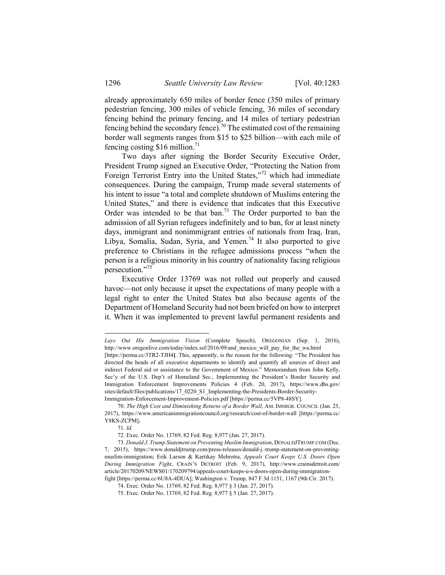already approximately 650 miles of border fence (350 miles of primary pedestrian fencing, 300 miles of vehicle fencing, 36 miles of secondary fencing behind the primary fencing, and 14 miles of tertiary pedestrian fencing behind the secondary fence).<sup>70</sup> The estimated cost of the remaining border wall segments ranges from \$15 to \$25 billion—with each mile of fencing costing  $$16$  million.<sup>71</sup>

Two days after signing the Border Security Executive Order, President Trump signed an Executive Order, "Protecting the Nation from Foreign Terrorist Entry into the United States,"72 which had immediate consequences. During the campaign, Trump made several statements of his intent to issue "a total and complete shutdown of Muslims entering the United States," and there is evidence that indicates that this Executive Order was intended to be that ban.<sup>73</sup> The Order purported to ban the admission of all Syrian refugees indefinitely and to ban, for at least ninety days, immigrant and nonimmigrant entries of nationals from Iraq, Iran, Libya, Somalia, Sudan, Syria, and Yemen.<sup>74</sup> It also purported to give preference to Christians in the refugee admissions process "when the person is a religious minority in his country of nationality facing religious persecution."75

Executive Order 13769 was not rolled out properly and caused havoc—not only because it upset the expectations of many people with a legal right to enter the United States but also because agents of the Department of Homeland Security had not been briefed on how to interpret it. When it was implemented to prevent lawful permanent residents and

*Lays Out His Immigration Vision* (Complete Speech), OREGONIAN (Sep. 1, 2016), http://www.oregonlive.com/today/index.ssf/2016/09/and\_mexico\_will\_pay\_for\_the\_wa.html

<sup>[</sup>https://perma.cc/3TR2-TJH4**]**. This, apparently, is the reason for the following: "The President has directed the heads of all executive departments to identify and quantify all sources of direct and indirect Federal aid or assistance to the Government of Mexico." Memorandum from John Kelly, Sec'y of the U.S. Dep't of Homeland Sec., Implementing the President's Border Security and Immigration Enforcement Improvements Policies 4 (Feb. 20, 2017), https://www.dhs.gov/ sites/default/files/publications/17\_0220\_S1\_Implementing-the-Presidents-Border-Security-

Immigration-Enforcement-Improvement-Policies.pdf [https://perma.cc/5VP8-48SY].

 <sup>70.</sup> *The High Cost and Diminishing Returns of a Border Wall*, AM. IMMIGR. COUNCIL (Jan. 25, 2017), https://www.americanimmigrationcouncil.org/research/cost-of-border-wall [https://perma.cc/ Y8KS-ZCPM]**.**

<sup>71</sup>*. Id.*

 <sup>72.</sup> Exec. Order No. 13769, 82 Fed. Reg. 8,977 (Jan. 27, 2017).

<sup>73</sup>*. Donald J. Trump Statement on Preventing Muslim Immigration*, DONALDJTRUMP.COM (Dec. 7, 2015), https://www.donaldjtrump.com/press-releases/donald-j.-trump-statement-on-preventingmuslim-immigration; Erik Larson & Kartikay Mehrotra, *Appeals Court Keeps U.S. Doors Open During Immigration Fight*, CRAIN'S DETROIT (Feb. 9, 2017), http://www.crainsdetroit.com/ article/20170209/NEWS01/170209794/appeals-court-keeps-u-s-doors-open-during-immigrationfight [https://perma.cc/6U8A-4DUA]; Washington v. Trump, 847 F.3d 1151, 1167 (9th Cir. 2017).

 <sup>74.</sup> Exec. Order No. 13769, 82 Fed. Reg. 8,977 § 3 (Jan. 27, 2017).

 <sup>75.</sup> Exec. Order No. 13769, 82 Fed. Reg. 8,977 § 5 (Jan. 27, 2017).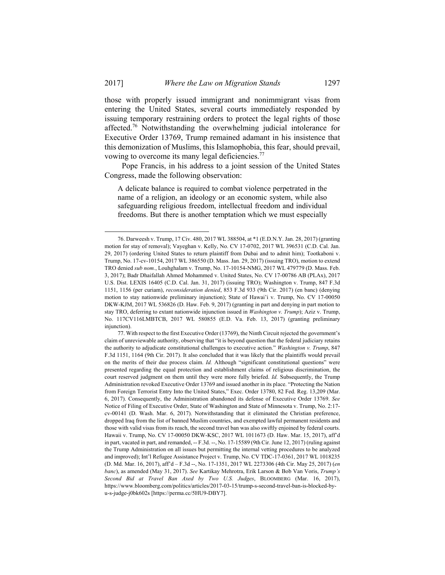l

those with properly issued immigrant and nonimmigrant visas from entering the United States, several courts immediately responded by issuing temporary restraining orders to protect the legal rights of those affected.<sup>76</sup> Notwithstanding the overwhelming judicial intolerance for Executive Order 13769, Trump remained adamant in his insistence that this demonization of Muslims, this Islamophobia, this fear, should prevail, vowing to overcome its many legal deficiencies.<sup>77</sup>

Pope Francis, in his address to a joint session of the United States Congress, made the following observation:

A delicate balance is required to combat violence perpetrated in the name of a religion, an ideology or an economic system, while also safeguarding religious freedom, intellectual freedom and individual freedoms. But there is another temptation which we must especially

 <sup>76.</sup> Darweesh v. Trump, 17 Civ. 480, 2017 WL 388504, at \*1 (E.D.N.Y. Jan. 28, 2017) (granting motion for stay of removal); Vayeghan v. Kelly, No. CV 17-0702, 2017 WL 396531 (C.D. Cal. Jan. 29, 2017) (ordering United States to return plaintiff from Dubai and to admit him); Tootkaboni v. Trump, No. 17-cv-10154, 2017 WL 386550 (D. Mass. Jan. 29, 2017) (issuing TRO), motion to extend TRO denied *sub nom.*, Louhghalam v. Trump, No. 17-10154-NMG, 2017 WL 479779 (D. Mass. Feb. 3, 2017); Badr Dhaifallah Ahmed Mohammed v. United States, No. CV 17-00786 AB (PLAx), 2017 U.S. Dist. LEXIS 16405 (C.D. Cal. Jan. 31, 2017) (issuing TRO); Washington v. Trump, 847 F.3d 1151, 1156 (per curiam), *reconsideration denied*, 853 F.3d 933 (9th Cir. 2017) (en banc) (denying motion to stay nationwide preliminary injunction); State of Hawai'i v. Trump, No. CV 17-00050 DKW-KJM, 2017 WL 536826 (D. Haw. Feb. 9, 2017) (granting in part and denying in part motion to stay TRO, deferring to extant nationwide injunction issued in *Washington v. Trump*); Aziz v. Trump, No. 117CV116LMBTCB, 2017 WL 580855 (E.D. Va. Feb. 13, 2017) (granting preliminary injunction).

 <sup>77.</sup> With respect to the first Executive Order (13769), the Ninth Circuit rejected the government's claim of unreviewable authority, observing that "it is beyond question that the federal judiciary retains the authority to adjudicate constitutional challenges to executive action." *Washington v. Trump*, 847 F.3d 1151, 1164 (9th Cir. 2017). It also concluded that it was likely that the plaintiffs would prevail on the merits of their due process claim. *Id.* Although "significant constitutional questions" were presented regarding the equal protection and establishment claims of religious discrimination, the court reserved judgment on them until they were more fully briefed. *Id.* Subsequently, the Trump Administration revoked Executive Order 13769 and issued another in its place. "Protecting the Nation from Foreign Terrorist Entry Into the United States," Exec. Order 13780, 82 Fed. Reg. 13,209 (Mar. 6, 2017). Consequently, the Administration abandoned its defense of Executive Order 13769. *See* Notice of Filing of Executive Order, State of Washington and State of Minnesota v. Trump, No. 2:17 cv-00141 (D. Wash. Mar. 6, 2017). Notwithstanding that it eliminated the Christian preference, dropped Iraq from the list of banned Muslim countries, and exempted lawful permanent residents and those with valid visas from its reach, the second travel ban was also swiftly enjoined by federal courts. Hawaii v. Trump, No. CV 17-00050 DKW-KSC, 2017 WL 1011673 (D. Haw. Mar. 15, 2017), aff'd in part, vacated in part, and remanded, -- F.3d. --, No. 17-15589 (9th Cir. June 12, 2017) (ruling against the Trump Administration on all issues but permitting the internal vetting procedures to be analyzed and improved); Int'l Refugee Assistance Project v. Trump, No. CV TDC-17-0361, 2017 WL 1018235 (D. Md. Mar. 16, 2017), aff'd – F.3d --, No. 17-1351, 2017 WL 2273306 (4th Cir. May 25, 2017) (*en banc*), as amended (May 31, 2017). *See* Kartikay Mehrotra, Erik Larson & Bob Van Voris, *Trump's Second Bid at Travel Ban Axed by Two U.S. Judges*, BLOOMBERG (Mar. 16, 2017), https://www.bloomberg.com/politics/articles/2017-03-15/trump-s-second-travel-ban-is-blocked-byu-s-judge-j0bk602s [https://perma.cc/5HU9-DBY7].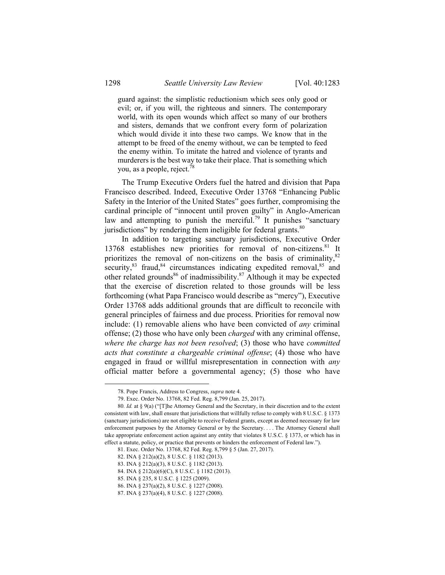guard against: the simplistic reductionism which sees only good or evil; or, if you will, the righteous and sinners. The contemporary world, with its open wounds which affect so many of our brothers and sisters, demands that we confront every form of polarization which would divide it into these two camps. We know that in the attempt to be freed of the enemy without, we can be tempted to feed the enemy within. To imitate the hatred and violence of tyrants and murderers is the best way to take their place. That is something which you, as a people, reject.78

The Trump Executive Orders fuel the hatred and division that Papa Francisco described. Indeed, Executive Order 13768 "Enhancing Public Safety in the Interior of the United States" goes further, compromising the cardinal principle of "innocent until proven guilty" in Anglo-American law and attempting to punish the merciful.<sup>79</sup> It punishes "sanctuary jurisdictions" by rendering them ineligible for federal grants.<sup>80</sup>

In addition to targeting sanctuary jurisdictions, Executive Order 13768 establishes new priorities for removal of non-citizens.<sup>81</sup> It prioritizes the removal of non-citizens on the basis of criminality, $82$ security, $83$  fraud, $84$  circumstances indicating expedited removal, $85$  and other related grounds<sup>86</sup> of inadmissibility.<sup>87</sup> Although it may be expected that the exercise of discretion related to those grounds will be less forthcoming (what Papa Francisco would describe as "mercy"), Executive Order 13768 adds additional grounds that are difficult to reconcile with general principles of fairness and due process. Priorities for removal now include: (1) removable aliens who have been convicted of *any* criminal offense; (2) those who have only been *charged* with any criminal offense, *where the charge has not been resolved*; (3) those who have *committed acts that constitute a chargeable criminal offense*; (4) those who have engaged in fraud or willful misrepresentation in connection with *any*  official matter before a governmental agency; (5) those who have

 <sup>78.</sup> Pope Francis, Address to Congress, *supra* note 4.

 <sup>79.</sup> Exec. Order No. 13768, 82 Fed. Reg. 8,799 (Jan. 25, 2017).

<sup>80</sup>*. Id.* at § 9(a) ("[T]he Attorney General and the Secretary, in their discretion and to the extent consistent with law, shall ensure that jurisdictions that willfully refuse to comply with 8 U.S.C. § 1373 (sanctuary jurisdictions) are not eligible to receive Federal grants, except as deemed necessary for law enforcement purposes by the Attorney General or by the Secretary. . . . The Attorney General shall take appropriate enforcement action against any entity that violates 8 U.S.C. § 1373, or which has in effect a statute, policy, or practice that prevents or hinders the enforcement of Federal law.").

 <sup>81.</sup> Exec. Order No. 13768, 82 Fed. Reg. 8,799 § 5 (Jan. 27, 2017).

 <sup>82.</sup> INA § 212(a)(2), 8 U.S.C. § 1182 (2013).

 <sup>83.</sup> INA § 212(a)(3), 8 U.S.C. § 1182 (2013).

 <sup>84.</sup> INA § 212(a)(6)(C), 8 U.S.C. § 1182 (2013).

 <sup>85.</sup> INA § 235, 8 U.S.C. § 1225 (2009).

 <sup>86.</sup> INA § 237(a)(2), 8 U.S.C. § 1227 (2008).

 <sup>87.</sup> INA § 237(a)(4), 8 U.S.C. § 1227 (2008).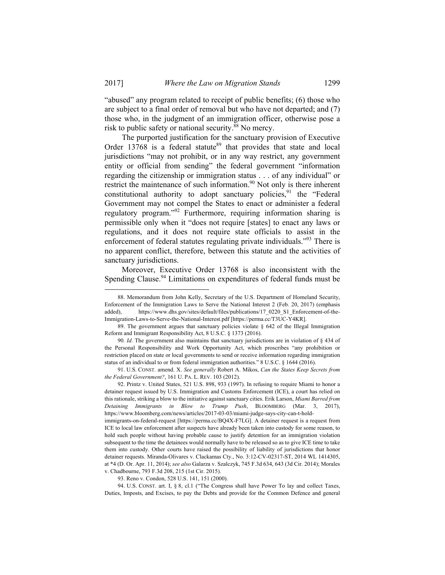"abused" any program related to receipt of public benefits; (6) those who are subject to a final order of removal but who have not departed; and (7) those who, in the judgment of an immigration officer, otherwise pose a risk to public safety or national security.<sup>88</sup> No mercy.

The purported justification for the sanctuary provision of Executive Order 13768 is a federal statute<sup>89</sup> that provides that state and local jurisdictions "may not prohibit, or in any way restrict, any government entity or official from sending" the federal government "information regarding the citizenship or immigration status . . . of any individual" or restrict the maintenance of such information.<sup>90</sup> Not only is there inherent constitutional authority to adopt sanctuary policies,  $91$  the "Federal Government may not compel the States to enact or administer a federal regulatory program."92 Furthermore, requiring information sharing is permissible only when it "does not require [states] to enact any laws or regulations, and it does not require state officials to assist in the enforcement of federal statutes regulating private individuals.<sup>"93</sup> There is no apparent conflict, therefore, between this statute and the activities of sanctuary jurisdictions.

Moreover, Executive Order 13768 is also inconsistent with the Spending Clause.<sup>94</sup> Limitations on expenditures of federal funds must be

93. Reno v. Condon, 528 U.S. 141, 151 (2000).

 94. U.S. CONST. art. I, § 8, cl.1 ("The Congress shall have Power To lay and collect Taxes, Duties, Imposts, and Excises, to pay the Debts and provide for the Common Defence and general

 <sup>88.</sup> Memorandum from John Kelly, Secretary of the U.S. Department of Homeland Security, Enforcement of the Immigration Laws to Serve the National Interest 2 (Feb. 20, 2017) (emphasis added), https://www.dhs.gov/sites/default/files/publications/17\_0220\_S1\_Enforcement-of-the-Immigration-Laws-to-Serve-the-National-Interest.pdf [https://perma.cc/T3UC-Y4KR].

 <sup>89.</sup> The government argues that sanctuary policies violate § 642 of the Illegal Immigration Reform and Immigrant Responsibility Act, 8 U.S.C. § 1373 (2016).

<sup>90</sup>*. Id.* The government also maintains that sanctuary jurisdictions are in violation of § 434 of the Personal Responsibility and Work Opportunity Act, which proscribes "any prohibition or restriction placed on state or local governments to send or receive information regarding immigration status of an individual to or from federal immigration authorities." 8 U.S.C. § 1644 (2016).

 <sup>91.</sup> U.S. CONST. amend. X. *See generally* Robert A. Mikos, *Can the States Keep Secrets from the Federal Government?*, 161 U. PA. L. REV. 103 (2012).

 <sup>92.</sup> Printz v. United States, 521 U.S. 898, 933 (1997). In refusing to require Miami to honor a detainer request issued by U.S. Immigration and Customs Enforcement (ICE), a court has relied on this rationale, striking a blow to the initiative against sanctuary cities. Erik Larson, *Miami Barred from Detaining Immigrants in Blow to Trump Push*, BLOOMBERG (Mar. 3, 2017), https://www.bloomberg.com/news/articles/2017-03-03/miami-judge-says-city-can-t-hold-

immigrants-on-federal-request [https://perma.cc/BQ4X-F7LG]. A detainer request is a request from ICE to local law enforcement after suspects have already been taken into custody for some reason, to hold such people without having probable cause to justify detention for an immigration violation subsequent to the time the detainees would normally have to be released so as to give ICE time to take them into custody. Other courts have raised the possibility of liability of jurisdictions that honor detainer requests. Miranda-Olivares v. Clackamas Cty., No. 3:12-CV-02317-ST, 2014 WL 1414305, at \*4 (D. Or. Apr. 11, 2014); *see also* Galarza v. Szalczyk, 745 F.3d 634, 643 (3d Cir. 2014); Morales v. Chadbourne, 793 F.3d 208, 215 (1st Cir. 2015).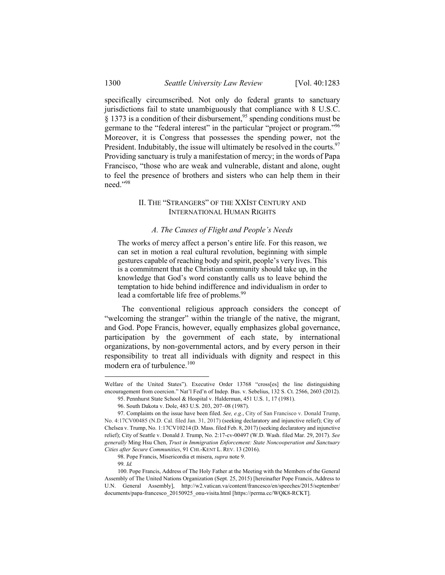specifically circumscribed. Not only do federal grants to sanctuary jurisdictions fail to state unambiguously that compliance with 8 U.S.C.  $\S$  1373 is a condition of their disbursement,<sup>95</sup> spending conditions must be germane to the "federal interest" in the particular "project or program."96 Moreover, it is Congress that possesses the spending power, not the President. Indubitably, the issue will ultimately be resolved in the courts.  $97$ Providing sanctuary is truly a manifestation of mercy; in the words of Papa Francisco, "those who are weak and vulnerable, distant and alone, ought to feel the presence of brothers and sisters who can help them in their need."98

## II. THE "STRANGERS" OF THE XXIST CENTURY AND INTERNATIONAL HUMAN RIGHTS

## *A. The Causes of Flight and People's Needs*

The works of mercy affect a person's entire life. For this reason, we can set in motion a real cultural revolution, beginning with simple gestures capable of reaching body and spirit, people's very lives. This is a commitment that the Christian community should take up, in the knowledge that God's word constantly calls us to leave behind the temptation to hide behind indifference and individualism in order to lead a comfortable life free of problems.<sup>99</sup>

The conventional religious approach considers the concept of "welcoming the stranger" within the triangle of the native, the migrant, and God. Pope Francis, however, equally emphasizes global governance, participation by the government of each state, by international organizations, by non-governmental actors, and by every person in their responsibility to treat all individuals with dignity and respect in this modern era of turbulence.<sup>100</sup>

Welfare of the United States"). Executive Order 13768 "cross[es] the line distinguishing encouragement from coercion." Nat'l Fed'n of Indep. Bus. v. Sebelius, 132 S. Ct. 2566, 2603 (2012). 95. Pennhurst State School & Hospital v. Halderman, 451 U.S. 1, 17 (1981).

 <sup>96.</sup> South Dakota v. Dole, 483 U.S. 203, 207–08 (1987).

 <sup>97.</sup> Complaints on the issue have been filed. *See, e.g.*, City of San Francisco v. Donald Trump, No. 4:17CV00485 (N.D. Cal. filed Jan. 31, 2017) (seeking declaratory and injunctive relief); City of Chelsea v. Trump, No. 1:17CV10214 (D. Mass. filed Feb. 8, 2017) (seeking declaratory and injunctive relief); City of Seattle v. Donald J. Trump, No. 2:17-cv-00497 (W.D. Wash. filed Mar. 29, 2017). *See generally* Ming Hsu Chen, *Trust in Immigration Enforcement: State Noncooperation and Sanctuary Cities after Secure Communities*, 91 CHI.-KENT L. REV. 13 (2016).

 <sup>98.</sup> Pope Francis, Misericordia et misera, *supra* note 9.

<sup>99</sup>*. Id.*

 <sup>100.</sup> Pope Francis, Address of The Holy Father at the Meeting with the Members of the General Assembly of The United Nations Organization (Sept. 25, 2015) [hereinafter Pope Francis, Address to U.N. General Assembly], http://w2.vatican.va/content/francesco/en/speeches/2015/september/ documents/papa-francesco\_20150925\_onu-visita.html [https://perma.cc/WQK8-RCKT].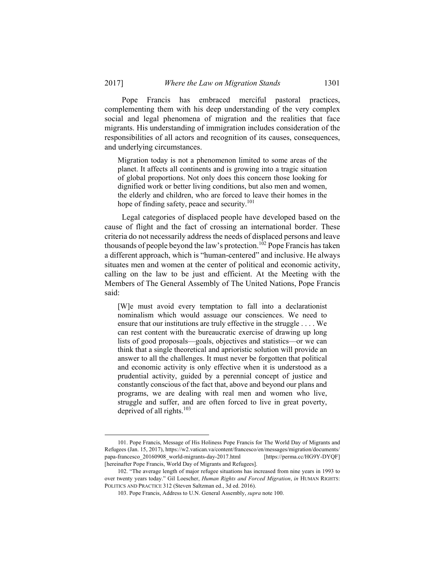Pope Francis has embraced merciful pastoral practices, complementing them with his deep understanding of the very complex social and legal phenomena of migration and the realities that face migrants. His understanding of immigration includes consideration of the responsibilities of all actors and recognition of its causes, consequences, and underlying circumstances.

Migration today is not a phenomenon limited to some areas of the planet. It affects all continents and is growing into a tragic situation of global proportions. Not only does this concern those looking for dignified work or better living conditions, but also men and women, the elderly and children, who are forced to leave their homes in the hope of finding safety, peace and security.<sup>101</sup>

Legal categories of displaced people have developed based on the cause of flight and the fact of crossing an international border. These criteria do not necessarily address the needs of displaced persons and leave thousands of people beyond the law's protection.<sup>102</sup> Pope Francis has taken a different approach, which is "human-centered" and inclusive. He always situates men and women at the center of political and economic activity, calling on the law to be just and efficient. At the Meeting with the Members of The General Assembly of The United Nations, Pope Francis said:

[W]e must avoid every temptation to fall into a declarationist nominalism which would assuage our consciences. We need to ensure that our institutions are truly effective in the struggle . . . . We can rest content with the bureaucratic exercise of drawing up long lists of good proposals—goals, objectives and statistics—or we can think that a single theoretical and aprioristic solution will provide an answer to all the challenges. It must never be forgotten that political and economic activity is only effective when it is understood as a prudential activity, guided by a perennial concept of justice and constantly conscious of the fact that, above and beyond our plans and programs, we are dealing with real men and women who live, struggle and suffer, and are often forced to live in great poverty, deprived of all rights. $103$ 

 <sup>101.</sup> Pope Francis, Message of His Holiness Pope Francis for The World Day of Migrants and Refugees (Jan. 15, 2017), https://w2.vatican.va/content/francesco/en/messages/migration/documents/ papa-francesco\_20160908\_world-migrants-day-2017.html [https://perma.cc/HG9Y-DYQF] [hereinafter Pope Francis, World Day of Migrants and Refugees].

 <sup>102. &</sup>quot;The average length of major refugee situations has increased from nine years in 1993 to over twenty years today." Gil Loescher, *Human Rights and Forced Migration*, *in* HUMAN RIGHTS: POLITICS AND PRACTICE 312 (Steven Saltzman ed., 3d ed. 2016).

 <sup>103.</sup> Pope Francis, Address to U.N. General Assembly, *supra* note 100.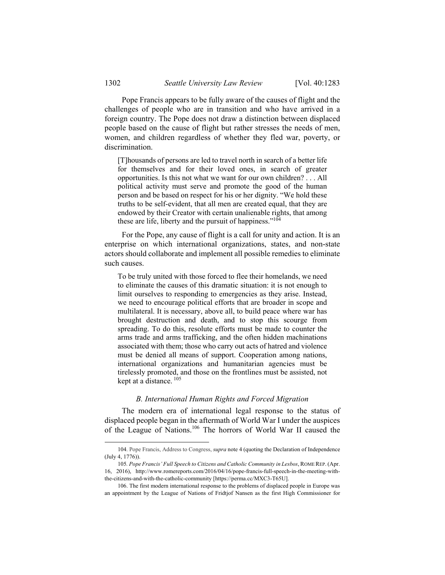Pope Francis appears to be fully aware of the causes of flight and the challenges of people who are in transition and who have arrived in a foreign country. The Pope does not draw a distinction between displaced people based on the cause of flight but rather stresses the needs of men, women, and children regardless of whether they fled war, poverty, or discrimination.

[T]housands of persons are led to travel north in search of a better life for themselves and for their loved ones, in search of greater opportunities. Is this not what we want for our own children? . . . All political activity must serve and promote the good of the human person and be based on respect for his or her dignity. "We hold these truths to be self-evident, that all men are created equal, that they are endowed by their Creator with certain unalienable rights, that among these are life, liberty and the pursuit of happiness."<sup>104</sup>

For the Pope, any cause of flight is a call for unity and action. It is an enterprise on which international organizations, states, and non-state actors should collaborate and implement all possible remedies to eliminate such causes.

To be truly united with those forced to flee their homelands, we need to eliminate the causes of this dramatic situation: it is not enough to limit ourselves to responding to emergencies as they arise. Instead, we need to encourage political efforts that are broader in scope and multilateral. It is necessary, above all, to build peace where war has brought destruction and death, and to stop this scourge from spreading. To do this, resolute efforts must be made to counter the arms trade and arms trafficking, and the often hidden machinations associated with them; those who carry out acts of hatred and violence must be denied all means of support. Cooperation among nations, international organizations and humanitarian agencies must be tirelessly promoted, and those on the frontlines must be assisted, not kept at a distance. 105

## *B. International Human Rights and Forced Migration*

The modern era of international legal response to the status of displaced people began in the aftermath of World War I under the auspices of the League of Nations.106 The horrors of World War II caused the

 <sup>104.</sup> Pope Francis, Address to Congress, *supra* note 4 (quoting the Declaration of Independence (July 4, 1776)).

<sup>105</sup>*. Pope Francis' Full Speech to Citizens and Catholic Community in Lesbos*, ROME REP. (Apr. 16, 2016), http://www.romereports.com/2016/04/16/pope-francis-full-speech-in-the-meeting-withthe-citizens-and-with-the-catholic-community [https://perma.cc/MXC3-T65U].

 <sup>106.</sup> The first modern international response to the problems of displaced people in Europe was an appointment by the League of Nations of Fridtjof Nansen as the first High Commissioner for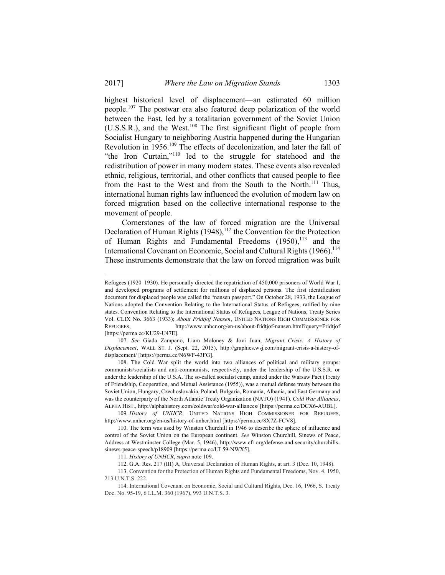highest historical level of displacement—an estimated 60 million people.107 The postwar era also featured deep polarization of the world between the East, led by a totalitarian government of the Soviet Union (U.S.S.R.), and the West.108 The first significant flight of people from Socialist Hungary to neighboring Austria happened during the Hungarian Revolution in 1956.<sup>109</sup> The effects of decolonization, and later the fall of "the Iron Curtain,"110 led to the struggle for statehood and the redistribution of power in many modern states. These events also revealed ethnic, religious, territorial, and other conflicts that caused people to flee from the East to the West and from the South to the North.<sup>111</sup> Thus, international human rights law influenced the evolution of modern law on forced migration based on the collective international response to the movement of people.

Cornerstones of the law of forced migration are the Universal Declaration of Human Rights  $(1948)$ ,<sup>112</sup> the Convention for the Protection of Human Rights and Fundamental Freedoms  $(1950)$ ,<sup>113</sup> and the International Covenant on Economic, Social and Cultural Rights (1966).<sup>114</sup> These instruments demonstrate that the law on forced migration was built

Refugees (1920–1930). He personally directed the repatriation of 450,000 prisoners of World War I, and developed programs of settlement for millions of displaced persons. The first identification document for displaced people was called the "nansen passport." On October 28, 1933, the League of Nations adopted the Convention Relating to the International Status of Refugees, ratified by nine states. Convention Relating to the International Status of Refugees, League of Nations, Treaty Series Vol. CLIX No. 3663 (1933); *About Fridtjof Nansen*, UNITED NATIONS HIGH COMMISSIONER FOR REFUGEES, http://www.unhcr.org/en-us/about-fridtjof-nansen.html?query=Fridtjof [https://perma.cc/KU29-U47E].

 <sup>107.</sup> *See* Giada Zampano, Liam Moloney & Jovi Juan, *Migrant Crisis: A History of Displacement*, WALL ST. J. (Sept. 22, 2015), http://graphics.wsj.com/migrant-crisis-a-history-ofdisplacement/ [https://perma.cc/N6WF-43FG].

 <sup>108.</sup> The Cold War split the world into two alliances of political and military groups: communists/socialists and anti-communists, respectively, under the leadership of the U.S.S.R. or under the leadership of the U.S.A. The so-called socialist camp, united under the Warsaw Pact (Treaty of Friendship, Cooperation, and Mutual Assistance (1955)), was a mutual defense treaty between the Soviet Union, Hungary, Czechoslovakia, Poland, Bulgaria, Romania, Albania, and East Germany and was the counterparty of the North Atlantic Treaty Organization (NATO) (1941). *Cold War Alliances*, ALPHA HIST., http://alphahistory.com/coldwar/cold-war-alliances/ [https://perma.cc/DCX6-AUBL].

<sup>109</sup>*. History of UNHCR*, UNITED NATIONS HIGH COMMISSIONER FOR REFUGEES, http://www.unhcr.org/en-us/history-of-unhcr.html [https://perma.cc/8X7Z-FCV8].

 <sup>110.</sup> The term was used by Winston Churchill in 1946 to describe the sphere of influence and control of the Soviet Union on the European continent. *See* Winston Churchill, Sinews of Peace, Address at Westminster College (Mar. 5, 1946), http://www.cfr.org/defense-and-security/churchillssinews-peace-speech/p18909 [https://perma.cc/UL59-NWX5].

<sup>111</sup>*. History of UNHCR*, *supra* note 109.

 <sup>112.</sup> G.A. Res. 217 (III) A, Universal Declaration of Human Rights, at art. 3 (Dec. 10, 1948).

<sup>113.</sup> Convention for the Protection of Human Rights and Fundamental Freedoms, Nov. 4, 1950, 213 U.N.T.S. 222.

 <sup>114.</sup> International Covenant on Economic, Social and Cultural Rights, Dec. 16, 1966, S. Treaty Doc. No. 95-19, 6 I.L.M. 360 (1967), 993 U.N.T.S. 3.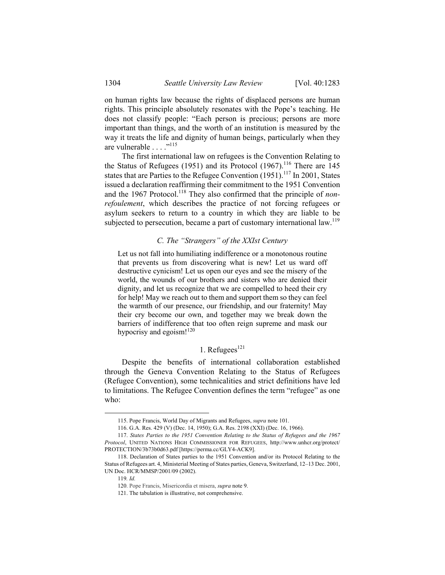on human rights law because the rights of displaced persons are human rights. This principle absolutely resonates with the Pope's teaching. He does not classify people: "Each person is precious; persons are more important than things, and the worth of an institution is measured by the way it treats the life and dignity of human beings, particularly when they are vulnerable . . . ."<sup>115</sup>

The first international law on refugees is the Convention Relating to the Status of Refugees (1951) and its Protocol (1967).<sup>116</sup> There are 145 states that are Parties to the Refugee Convention (1951).<sup>117</sup> In 2001, States issued a declaration reaffirming their commitment to the 1951 Convention and the 1967 Protocol.<sup>118</sup> They also confirmed that the principle of *nonrefoulement*, which describes the practice of not forcing refugees or asylum seekers to return to a country in which they are liable to be subjected to persecution, became a part of customary international law.<sup>119</sup>

## *C. The "Strangers" of the XXIst Century*

Let us not fall into humiliating indifference or a monotonous routine that prevents us from discovering what is new! Let us ward off destructive cynicism! Let us open our eyes and see the misery of the world, the wounds of our brothers and sisters who are denied their dignity, and let us recognize that we are compelled to heed their cry for help! May we reach out to them and support them so they can feel the warmth of our presence, our friendship, and our fraternity! May their cry become our own, and together may we break down the barriers of indifference that too often reign supreme and mask our hypocrisy and egoism!<sup>120</sup>

## 1. Refugees $^{121}$

Despite the benefits of international collaboration established through the Geneva Convention Relating to the Status of Refugees (Refugee Convention), some technicalities and strict definitions have led to limitations. The Refugee Convention defines the term "refugee" as one who:

 <sup>115.</sup> Pope Francis, World Day of Migrants and Refugees, *supra* note 101.

 <sup>116.</sup> G.A. Res. 429 (V) (Dec. 14, 1950); G.A. Res. 2198 (XXI) (Dec. 16, 1966).

 <sup>117.</sup> *States Parties to the 1951 Convention Relating to the Status of Refugees and the 1967 Protocol*, UNITED NATIONS HIGH COMMISSIONER FOR REFUGEES, http://www.unhcr.org/protect/ PROTECTION/3b73b0d63.pdf [https://perma.cc/GLY4-ACK9].

 <sup>118.</sup> Declaration of States parties to the 1951 Convention and/or its Protocol Relating to the Status of Refugees art. 4, Ministerial Meeting of States parties, Geneva, Switzerland, 12–13 Dec. 2001, UN Doc. HCR/MMSP/2001/09 (2002).

<sup>119</sup>*. Id.*

<sup>120.</sup> Pope Francis, Misericordia et misera, *supra* note 9.

 <sup>121.</sup> The tabulation is illustrative, not comprehensive.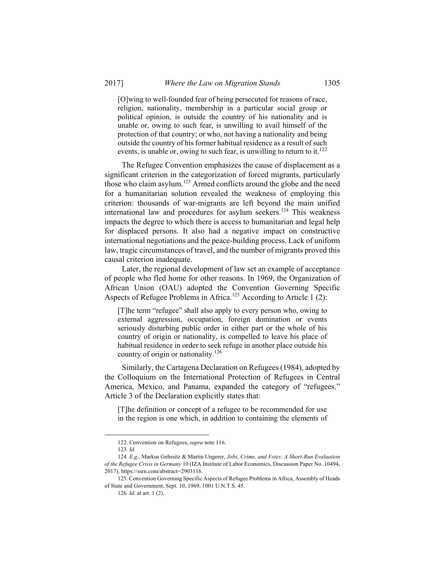[O]wing to well-founded fear of being persecuted for reasons of race, religion, nationality, membership in a particular social group or political opinion, is outside the country of his nationality and is unable or, owing to such fear, is unwilling to avail himself of the protection of that country; or who, not having a nationality and being outside the country of his former habitual residence as a result of such events, is unable or, owing to such fear, is unwilling to return to it.<sup>122</sup>

The Refugee Convention emphasizes the cause of displacement as a significant criterion in the categorization of forced migrants, particularly those who claim asylum.<sup>123</sup> Armed conflicts around the globe and the need for a humanitarian solution revealed the weakness of employing this criterion: thousands of war-migrants are left beyond the main unified international law and procedures for asylum seekers.<sup>124</sup> This weakness impacts the degree to which there is access to humanitarian and legal help for displaced persons. It also had a negative impact on constructive international negotiations and the peace-building process. Lack of uniform law, tragic circumstances of travel, and the number of migrants proved this causal criterion inadequate.

Later, the regional development of law set an example of acceptance of people who fled home for other reasons. In 1969, the Organization of African Union (OAU) adopted the Convention Governing Specific Aspects of Refugee Problems in Africa.<sup>125</sup> According to Article 1 (2):

[T]he term "refugee" shall also apply to every person who, owing to external aggression, occupation, foreign domination or events seriously disturbing public order in either part or the whole of his country of origin or nationality, is compelled to leave his place of habitual residence in order to seek refuge in another place outside his country of origin or nationality.<sup>126</sup>

Similarly, the Cartagena Declaration on Refugees (1984), adopted by the Colloquium on the International Protection of Refugees in Central America, Mexico, and Panama, expanded the category of "refugees." Article 3 of the Declaration explicitly states that:

[T]he definition or concept of a refugee to be recommended for use in the region is one which, in addition to containing the elements of

 <sup>122.</sup> Convention on Refugees, *supra* note 116.

<sup>123</sup>*. Id.*

<sup>124</sup>*. E.g.*, Markus Gehrsitz & Martin Ungerer, *Jobs, Crime, and Votes: A Short-Run Evaluation of the Refugee Crisis in Germany* 10 (IZA Institute of Labor Economics, Discussion Paper No. 10494, 2017), https://ssrn.com/abstract=2903116.

 <sup>125.</sup> Convention Governing Specific Aspects of Refugee Problems in Africa, Assembly of Heads of State and Government, Sept. 10, 1969, 1001 U.N.T.S. 45.

<sup>126</sup>*. Id.* at art. 1 (2).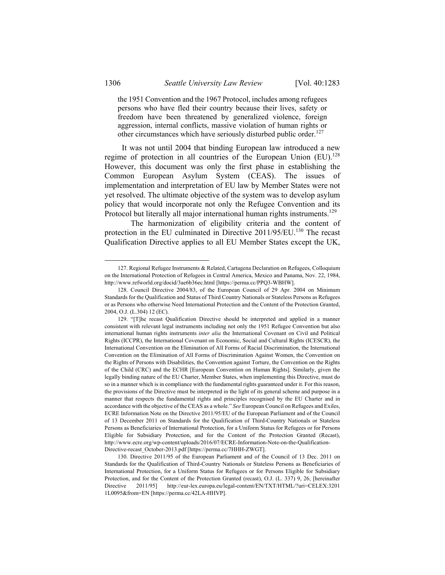the 1951 Convention and the 1967 Protocol, includes among refugees persons who have fled their country because their lives, safety or freedom have been threatened by generalized violence, foreign aggression, internal conflicts, massive violation of human rights or other circumstances which have seriously disturbed public order.<sup>127</sup>

It was not until 2004 that binding European law introduced a new regime of protection in all countries of the European Union  $(EU)$ .<sup>128</sup> However, this document was only the first phase in establishing the Common European Asylum System (CEAS). The issues of implementation and interpretation of EU law by Member States were not yet resolved. The ultimate objective of the system was to develop asylum policy that would incorporate not only the Refugee Convention and its Protocol but literally all major international human rights instruments.<sup>129</sup>

 The harmonization of eligibility criteria and the content of protection in the EU culminated in Directive 2011/95/EU.<sup>130</sup> The recast Qualification Directive applies to all EU Member States except the UK,

 <sup>127.</sup> Regional Refugee Instruments & Related, Cartagena Declaration on Refugees, Colloquium on the International Protection of Refugees in Central America, Mexico and Panama, Nov. 22, 1984, http://www.refworld.org/docid/3ae6b36ec.html [https://perma.cc/PPQ3-WBHW].

 <sup>128.</sup> Council Directive 2004/83, of the European Council of 29 Apr. 2004 on Minimum Standards for the Qualification and Status of Third Country Nationals or Stateless Persons as Refugees or as Persons who otherwise Need International Protection and the Content of the Protection Granted, 2004, O.J. (L.304) 12 (EC).

 <sup>129. &</sup>quot;[T]he recast Qualification Directive should be interpreted and applied in a manner consistent with relevant legal instruments including not only the 1951 Refugee Convention but also international human rights instruments *inter alia* the International Covenant on Civil and Political Rights (ICCPR), the International Covenant on Economic, Social and Cultural Rights (ICESCR), the International Convention on the Elimination of All Forms of Racial Discrimination, the International Convention on the Elimination of All Forms of Discrimination Against Women, the Convention on the Rights of Persons with Disabilities, the Convention against Torture, the Convention on the Rights of the Child (CRC) and the ECHR [European Convention on Human Rights]. Similarly, given the legally binding nature of the EU Charter, Member States, when implementing this Directive, must do so in a manner which is in compliance with the fundamental rights guaranteed under it. For this reason, the provisions of the Directive must be interpreted in the light of its general scheme and purpose in a manner that respects the fundamental rights and principles recognised by the EU Charter and in accordance with the objective of the CEAS as a whole." *See* European Council on Refugees and Exiles, ECRE Information Note on the Directive 2011/95/EU of the European Parliament and of the Council of 13 December 2011 on Standards for the Qualification of Third-Country Nationals or Stateless Persons as Beneficiaries of International Protection, for a Uniform Status for Refugees or for Persons Eligible for Subsidiary Protection, and for the Content of the Protection Granted (Recast), http://www.ecre.org/wp-content/uploads/2016/07/ECRE-Information-Note-on-the-Qualification-Directive-recast\_October-2013.pdf [https://perma.cc/7HHH-ZWGT].

 <sup>130.</sup> Directive 2011/95 of the European Parliament and of the Council of 13 Dec. 2011 on Standards for the Qualification of Third-Country Nationals or Stateless Persons as Beneficiaries of International Protection, for a Uniform Status for Refugees or for Persons Eligible for Subsidiary Protection, and for the Content of the Protection Granted (recast), O.J. (L. 337) 9, 26, [hereinafter Directive 2011/95] http://eur-lex.europa.eu/legal-content/EN/TXT/HTML/?uri=CELEX:3201 1L0095&from=EN [https://perma.cc/42LA-HHVP].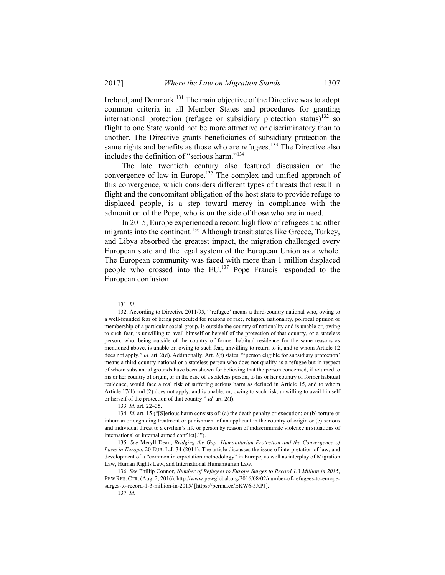Ireland, and Denmark.<sup>131</sup> The main objective of the Directive was to adopt common criteria in all Member States and procedures for granting international protection (refugee or subsidiary protection status)<sup>132</sup> so flight to one State would not be more attractive or discriminatory than to another. The Directive grants beneficiaries of subsidiary protection the same rights and benefits as those who are refugees.<sup>133</sup> The Directive also includes the definition of "serious harm."<sup>134</sup>

The late twentieth century also featured discussion on the convergence of law in Europe.<sup>135</sup> The complex and unified approach of this convergence, which considers different types of threats that result in flight and the concomitant obligation of the host state to provide refuge to displaced people, is a step toward mercy in compliance with the admonition of the Pope, who is on the side of those who are in need.

In 2015, Europe experienced a record high flow of refugees and other migrants into the continent.<sup>136</sup> Although transit states like Greece, Turkey, and Libya absorbed the greatest impact, the migration challenged every European state and the legal system of the European Union as a whole. The European community was faced with more than 1 million displaced people who crossed into the EU.137 Pope Francis responded to the European confusion:

 <sup>131</sup>*. Id.*

 <sup>132.</sup> According to Directive 2011/95, "'refugee' means a third-country national who, owing to a well-founded fear of being persecuted for reasons of race, religion, nationality, political opinion or membership of a particular social group, is outside the country of nationality and is unable or, owing to such fear, is unwilling to avail himself or herself of the protection of that country, or a stateless person, who, being outside of the country of former habitual residence for the same reasons as mentioned above, is unable or, owing to such fear, unwilling to return to it, and to whom Article 12 does not apply." *Id.* art. 2(d). Additionally, Art. 2(f) states, "'person eligible for subsidiary protection' means a third-country national or a stateless person who does not qualify as a refugee but in respect of whom substantial grounds have been shown for believing that the person concerned, if returned to his or her country of origin, or in the case of a stateless person, to his or her country of former habitual residence, would face a real risk of suffering serious harm as defined in Article 15, and to whom Article 17(1) and (2) does not apply, and is unable, or, owing to such risk, unwilling to avail himself or herself of the protection of that country." *Id.* art. 2(f).

<sup>133</sup>*. Id.* art. 22–35.

<sup>134</sup>*. Id.* art. 15 ("[S]erious harm consists of: (a) the death penalty or execution; or (b) torture or inhuman or degrading treatment or punishment of an applicant in the country of origin or (c) serious and individual threat to a civilian's life or person by reason of indiscriminate violence in situations of international or internal armed conflict[.]").

 <sup>135.</sup> *See* Meryll Dean, *Bridging the Gap: Humanitarian Protection and the Convergence of Laws in Europe*, 20 EUR. L.J. 34 (2014). The article discusses the issue of interpretation of law, and development of a "common interpretation methodology" in Europe, as well as interplay of Migration Law, Human Rights Law, and International Humanitarian Law.

<sup>136</sup>*. See* Phillip Connor, *Number of Refugees to Europe Surges to Record 1.3 Million in 2015*, PEW RES.CTR.(Aug. 2, 2016), http://www.pewglobal.org/2016/08/02/number-of-refugees-to-europesurges-to-record-1-3-million-in-2015/ [https://perma.cc/EKW6-5XPJ].

<sup>137</sup>*. Id.*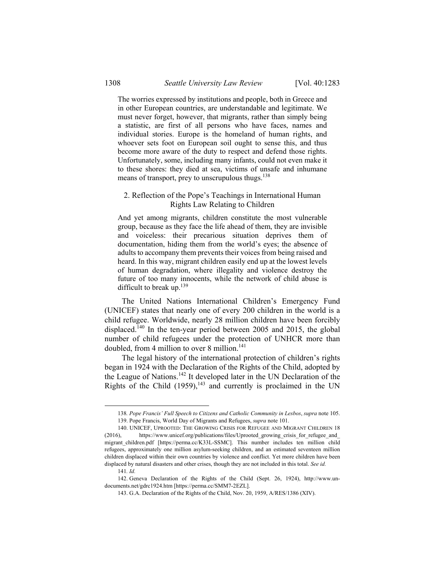The worries expressed by institutions and people, both in Greece and in other European countries, are understandable and legitimate. We must never forget, however, that migrants, rather than simply being a statistic, are first of all persons who have faces, names and individual stories. Europe is the homeland of human rights, and whoever sets foot on European soil ought to sense this, and thus become more aware of the duty to respect and defend those rights. Unfortunately, some, including many infants, could not even make it to these shores: they died at sea, victims of unsafe and inhumane means of transport, prey to unscrupulous thugs.<sup>138</sup>

## 2. Reflection of the Pope's Teachings in International Human Rights Law Relating to Children

And yet among migrants, children constitute the most vulnerable group, because as they face the life ahead of them, they are invisible and voiceless: their precarious situation deprives them of documentation, hiding them from the world's eyes; the absence of adults to accompany them prevents their voices from being raised and heard. In this way, migrant children easily end up at the lowest levels of human degradation, where illegality and violence destroy the future of too many innocents, while the network of child abuse is difficult to break up.<sup>139</sup>

The United Nations International Children's Emergency Fund (UNICEF) states that nearly one of every 200 children in the world is a child refugee. Worldwide, nearly 28 million children have been forcibly displaced.<sup> $140$ </sup> In the ten-year period between 2005 and 2015, the global number of child refugees under the protection of UNHCR more than doubled, from 4 million to over 8 million. $141$ 

The legal history of the international protection of children's rights began in 1924 with the Declaration of the Rights of the Child, adopted by the League of Nations.142 It developed later in the UN Declaration of the Rights of the Child  $(1959)$ ,<sup>143</sup> and currently is proclaimed in the UN

 <sup>138</sup>*. Pope Francis' Full Speech to Citizens and Catholic Community in Lesbos*, *supra* note 105. 139. Pope Francis, World Day of Migrants and Refugees, *supra* note 101.

 <sup>140.</sup> UNICEF, UPROOTED: THE GROWING CRISIS FOR REFUGEE AND MIGRANT CHILDREN 18

<sup>(2016),</sup> https://www.unicef.org/publications/files/Uprooted\_growing\_crisis\_for\_refugee\_and migrant\_children.pdf [https://perma.cc/K33L-SSMC]. This number includes ten million child refugees, approximately one million asylum-seeking children, and an estimated seventeen million children displaced within their own countries by violence and conflict. Yet more children have been displaced by natural disasters and other crises, though they are not included in this total. *See id.*

<sup>141</sup>*. Id.*

 <sup>142.</sup> Geneva Declaration of the Rights of the Child (Sept. 26, 1924), http://www.undocuments.net/gdrc1924.htm [https://perma.cc/SMM7-2EZL].

 <sup>143.</sup> G.A. Declaration of the Rights of the Child, Nov. 20, 1959, A/RES/1386 (XIV).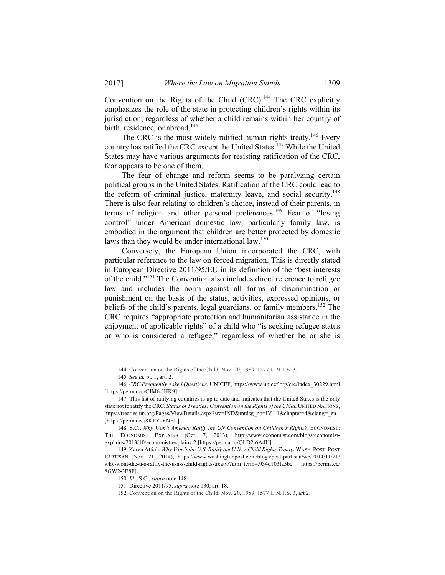Convention on the Rights of the Child  $(CRC)$ .<sup>144</sup> The CRC explicitly emphasizes the role of the state in protecting children's rights within its jurisdiction, regardless of whether a child remains within her country of birth, residence, or abroad.<sup>145</sup>

The CRC is the most widely ratified human rights treaty.<sup>146</sup> Every country has ratified the CRC except the United States.<sup>147</sup> While the United States may have various arguments for resisting ratification of the CRC, fear appears to be one of them.

The fear of change and reform seems to be paralyzing certain political groups in the United States. Ratification of the CRC could lead to the reform of criminal justice, maternity leave, and social security.<sup>148</sup> There is also fear relating to children's choice, instead of their parents, in terms of religion and other personal preferences.<sup>149</sup> Fear of "losing" control" under American domestic law, particularly family law, is embodied in the argument that children are better protected by domestic laws than they would be under international law.<sup>150</sup>

Conversely, the European Union incorporated the CRC, with particular reference to the law on forced migration. This is directly stated in European Directive 2011/95/EU in its definition of the "best interests of the child."151 The Convention also includes direct reference to refugee law and includes the norm against all forms of discrimination or punishment on the basis of the status, activities, expressed opinions, or beliefs of the child's parents, legal guardians, or family members.<sup>152</sup> The CRC requires "appropriate protection and humanitarian assistance in the enjoyment of applicable rights" of a child who "is seeking refugee status or who is considered a refugee," regardless of whether he or she is

 <sup>144.</sup> Convention on the Rights of the Child, Nov. 20, 1989, 1577 U.N.T.S. 3.

<sup>145</sup>*. See id.* pt. 1, art. 2.

 <sup>146.</sup> *CRC Frequently Asked Questions*, UNICEF, https://www.unicef.org/crc/index\_30229.html [https://perma.cc/CJM6-JHK9].

 <sup>147.</sup> This list of ratifying countries is up to date and indicates that the United States is the only state not to ratify the CRC. *Status of Treaties: Convention on the Rights of the Child*, UNITED NATIONS, https://treaties.un.org/Pages/ViewDetails.aspx?src=IND&mtdsg\_no=IV-11&chapter=4&clang=\_en [https://perma.cc/8KPY-YNEL].

 <sup>148.</sup> S.C., *Why Won't America Ratify the UN Convention on Children's Rights?*, ECONOMIST: THE ECONOMIST EXPLAINS (Oct. 7, 2013), http://www.economist.com/blogs/economistexplains/2013/10/economist-explains-2 [https://perma.cc/QLD2-6A4U].

 <sup>149.</sup> Karen Attiah, *Why Won't the U.S. Ratify the U.N.'s Child Rights Treaty*, WASH. POST: POST PARTISAN (Nov. 21, 2014), https://www.washingtonpost.com/blogs/post-partisan/wp/2014/11/21/ why-wont-the-u-s-ratify-the-u-n-s-child-rights-treaty/?utm\_term=.934d103fa5be [https://perma.cc/ 8GW2-3E8F].

 <sup>150.</sup> *Id.*; S.C., *supra* note 148.

 <sup>151.</sup> Directive 2011/95, *supra* note 130, art. 18.

 <sup>152.</sup> Convention on the Rights of the Child, Nov. 20, 1989, 1577 U.N.T.S. 3, art 2.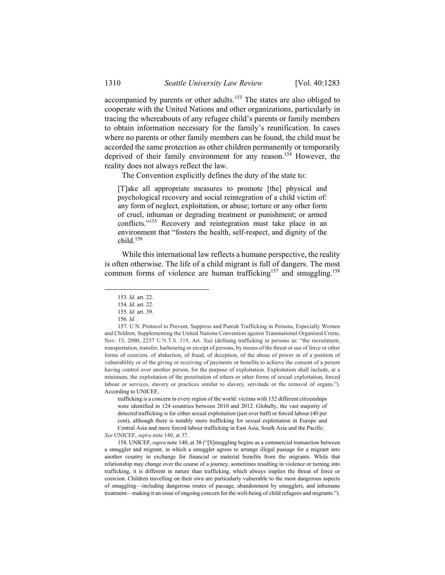accompanied by parents or other adults.<sup>153</sup> The states are also obliged to cooperate with the United Nations and other organizations, particularly in tracing the whereabouts of any refugee child's parents or family members to obtain information necessary for the family's reunification. In cases where no parents or other family members can be found, the child must be accorded the same protection as other children permanently or temporarily deprived of their family environment for any reason.<sup>154</sup> However, the reality does not always reflect the law.

The Convention explicitly defines the duty of the state to:

[T]ake all appropriate measures to promote [the] physical and psychological recovery and social reintegration of a child victim of: any form of neglect, exploitation, or abuse; torture or any other form of cruel, inhuman or degrading treatment or punishment; or armed conflicts."155 Recovery and reintegration must take place in an environment that "fosters the health, self-respect, and dignity of the child.156

While this international law reflects a humane perspective, the reality is often otherwise. The life of a child migrant is full of dangers. The most common forms of violence are human trafficking<sup>157</sup> and smuggling.<sup>158</sup>

trafficking is a concern in every region of the world: victims with 152 different citizenships were identified in 124 countries between 2010 and 2012. Globally, the vast majority of detected trafficking is for either sexual exploitation (just over half) or forced labour (40 per cent), although there is notably more trafficking for sexual exploitation in Europe and Central Asia and more forced labour trafficking in East Asia, South Asia and the Pacific.

*See* UNICEF, *supra* note 140, at 37.

 158. UNICEF,*supra* note 140, at 38 ("[S]muggling begins as a commercial transaction between a smuggler and migrant, in which a smuggler agrees to arrange illegal passage for a migrant into another country in exchange for financial or material benefits from the migrants. While that relationship may change over the course of a journey, sometimes resulting in violence or turning into trafficking, it is different in nature than trafficking, which always implies the threat of force or coercion. Children travelling on their own are particularly vulnerable to the most dangerous aspects of smuggling—including dangerous routes of passage, abandonment by smugglers, and inhumane treatment—making it an issue of ongoing concern for the well-being of child refugees and migrants.").

 <sup>153</sup>*. Id.* art. 22.

<sup>154</sup>*. Id.* art. 22.

<sup>155</sup>*. Id.* art. 39.

<sup>156</sup>*. Id.*

<sup>157.</sup> U.N. Protocol to Prevent, Suppress and Punish Trafficking in Persons, Especially Women and Children, Supplementing the United Nations Convention against Transnational Organized Crime, Nov. 15, 2000, 2237 U.N.T.S. 319, Art. 3(a) (defining trafficking in persons as: "the recruitment, transportation, transfer, harbouring or receipt of persons, by means of the threat or use of force or other forms of coercion, of abduction, of fraud, of deception, of the abuse of power or of a position of vulnerability or of the giving or receiving of payments or benefits to achieve the consent of a person having control over another person, for the purpose of exploitation. Exploitation shall include, at a minimum, the exploitation of the prostitution of others or other forms of sexual exploitation, forced labour or services, slavery or practices similar to slavery, servitude or the removal of organs."). According to UNICEF,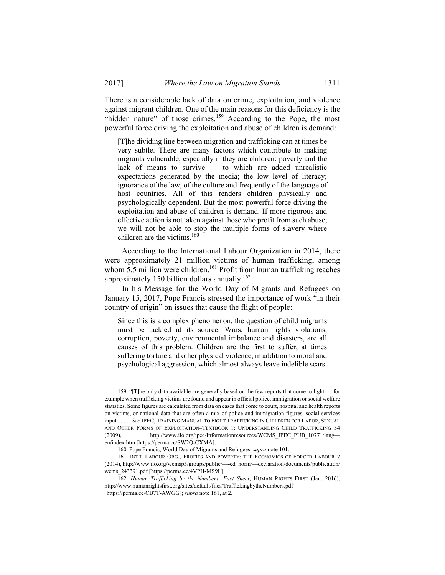There is a considerable lack of data on crime, exploitation, and violence against migrant children. One of the main reasons for this deficiency is the "hidden nature" of those crimes.<sup>159</sup> According to the Pope, the most powerful force driving the exploitation and abuse of children is demand:

[T]he dividing line between migration and trafficking can at times be very subtle. There are many factors which contribute to making migrants vulnerable, especially if they are children: poverty and the lack of means to survive — to which are added unrealistic expectations generated by the media; the low level of literacy; ignorance of the law, of the culture and frequently of the language of host countries. All of this renders children physically and psychologically dependent. But the most powerful force driving the exploitation and abuse of children is demand. If more rigorous and effective action is not taken against those who profit from such abuse, we will not be able to stop the multiple forms of slavery where children are the victims.<sup>160</sup>

According to the International Labour Organization in 2014, there were approximately 21 million victims of human trafficking, among whom  $5.5$  million were children.<sup>161</sup> Profit from human trafficking reaches approximately 150 billion dollars annually.162

In his Message for the World Day of Migrants and Refugees on January 15, 2017, Pope Francis stressed the importance of work "in their country of origin" on issues that cause the flight of people:

Since this is a complex phenomenon, the question of child migrants must be tackled at its source. Wars, human rights violations, corruption, poverty, environmental imbalance and disasters, are all causes of this problem. Children are the first to suffer, at times suffering torture and other physical violence, in addition to moral and psychological aggression, which almost always leave indelible scars.

 <sup>159. &</sup>quot;[T]he only data available are generally based on the few reports that come to light — for example when trafficking victims are found and appear in official police, immigration or social welfare statistics. Some figures are calculated from data on cases that come to court, hospital and health reports on victims, or national data that are often a mix of police and immigration figures, social services input . . . ." *See* IPEC, TRAINING MANUAL TO FIGHT TRAFFICKING IN CHILDREN FOR LABOR, SEXUAL AND OTHER FORMS OF EXPLOITATION–TEXTBOOK 1: UNDERSTANDING CHILD TRAFFICKING 34 (2009), http://www.ilo.org/ipec/Informationresources/WCMS\_IPEC\_PUB\_10771/lang en/index.htm [https://perma.cc/SW2Q-CXMA].

 <sup>160.</sup> Pope Francis, World Day of Migrants and Refugees, *supra* note 101.

 <sup>161.</sup> INT'L LABOUR ORG., PROFITS AND POVERTY: THE ECONOMICS OF FORCED LABOUR 7 (2014), http://www.ilo.org/wcmsp5/groups/public/—-ed\_norm/—declaration/documents/publication/ wcms\_243391.pdf [https://perma.cc/4VPH-MS9L].

 <sup>162.</sup> *Human Trafficking by the Numbers: Fact Sheet*, HUMAN RIGHTS FIRST (Jan. 2016), http://www.humanrightsfirst.org/sites/default/files/TraffickingbytheNumbers.pdf [https://perma.cc/CB7T-AWGG]; *supra* note 161, at 2.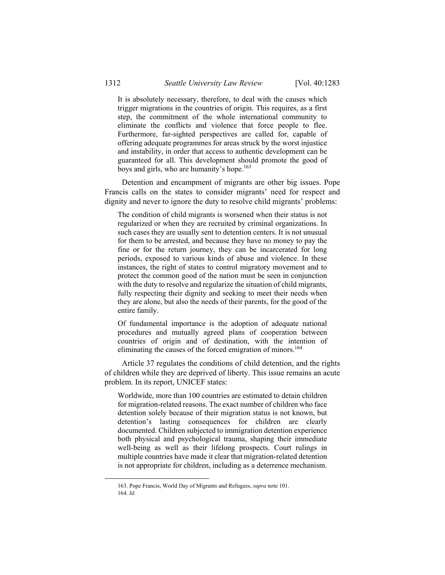It is absolutely necessary, therefore, to deal with the causes which trigger migrations in the countries of origin. This requires, as a first step, the commitment of the whole international community to eliminate the conflicts and violence that force people to flee. Furthermore, far-sighted perspectives are called for, capable of offering adequate programmes for areas struck by the worst injustice and instability, in order that access to authentic development can be guaranteed for all. This development should promote the good of boys and girls, who are humanity's hope.<sup>163</sup>

Detention and encampment of migrants are other big issues. Pope Francis calls on the states to consider migrants' need for respect and dignity and never to ignore the duty to resolve child migrants' problems:

The condition of child migrants is worsened when their status is not regularized or when they are recruited by criminal organizations. In such cases they are usually sent to detention centers. It is not unusual for them to be arrested, and because they have no money to pay the fine or for the return journey, they can be incarcerated for long periods, exposed to various kinds of abuse and violence. In these instances, the right of states to control migratory movement and to protect the common good of the nation must be seen in conjunction with the duty to resolve and regularize the situation of child migrants, fully respecting their dignity and seeking to meet their needs when they are alone, but also the needs of their parents, for the good of the entire family.

Of fundamental importance is the adoption of adequate national procedures and mutually agreed plans of cooperation between countries of origin and of destination, with the intention of eliminating the causes of the forced emigration of minors.<sup>164</sup>

Article 37 regulates the conditions of child detention, and the rights of children while they are deprived of liberty. This issue remains an acute problem. In its report, UNICEF states:

Worldwide, more than 100 countries are estimated to detain children for migration-related reasons. The exact number of children who face detention solely because of their migration status is not known, but detention's lasting consequences for children are clearly documented. Children subjected to immigration detention experience both physical and psychological trauma, shaping their immediate well-being as well as their lifelong prospects. Court rulings in multiple countries have made it clear that migration-related detention is not appropriate for children, including as a deterrence mechanism.

 <sup>163.</sup> Pope Francis, World Day of Migrants and Refugees, *supra* note 101. 164*. Id.*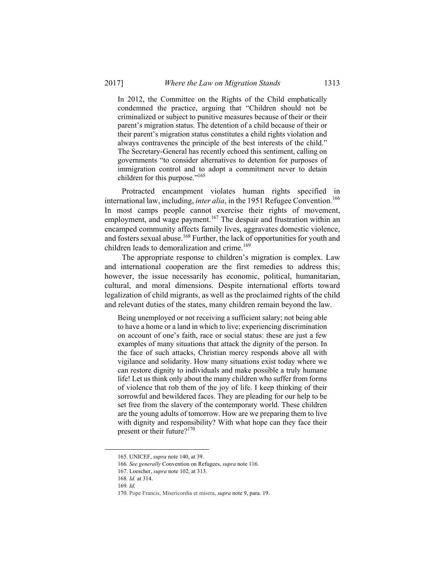In 2012, the Committee on the Rights of the Child emphatically condemned the practice, arguing that "Children should not be criminalized or subject to punitive measures because of their or their parent's migration status. The detention of a child because of their or their parent's migration status constitutes a child rights violation and always contravenes the principle of the best interests of the child." The Secretary-General has recently echoed this sentiment, calling on governments "to consider alternatives to detention for purposes of immigration control and to adopt a commitment never to detain children for this purpose."<sup>165</sup>

Protracted encampment violates human rights specified in international law, including, *inter alia*, in the 1951 Refugee Convention.<sup>166</sup> In most camps people cannot exercise their rights of movement, employment, and wage payment.<sup>167</sup> The despair and frustration within an encamped community affects family lives, aggravates domestic violence, and fosters sexual abuse.<sup>168</sup> Further, the lack of opportunities for youth and children leads to demoralization and crime.<sup>169</sup>

The appropriate response to children's migration is complex. Law and international cooperation are the first remedies to address this; however, the issue necessarily has economic, political, humanitarian, cultural, and moral dimensions. Despite international efforts toward legalization of child migrants, as well as the proclaimed rights of the child and relevant duties of the states, many children remain beyond the law.

Being unemployed or not receiving a sufficient salary; not being able to have a home or a land in which to live; experiencing discrimination on account of one's faith, race or social status: these are just a few examples of many situations that attack the dignity of the person. In the face of such attacks, Christian mercy responds above all with vigilance and solidarity. How many situations exist today where we can restore dignity to individuals and make possible a truly humane life! Let us think only about the many children who suffer from forms of violence that rob them of the joy of life. I keep thinking of their sorrowful and bewildered faces. They are pleading for our help to be set free from the slavery of the contemporary world. These children are the young adults of tomorrow. How are we preparing them to live with dignity and responsibility? With what hope can they face their present or their future?<sup>170</sup>

 <sup>165.</sup> UNICEF, *supra* note 140, at 39.

<sup>166</sup>*. See generally* Convention on Refugees, *supra* note 116.

 <sup>167.</sup> Loescher, *supra* note 102, at 313.

<sup>168</sup>*. Id.* at 314.

<sup>169</sup>*. Id.*

<sup>170.</sup> Pope Francis, Misericordia et misera, *supra* note 9, para. 19.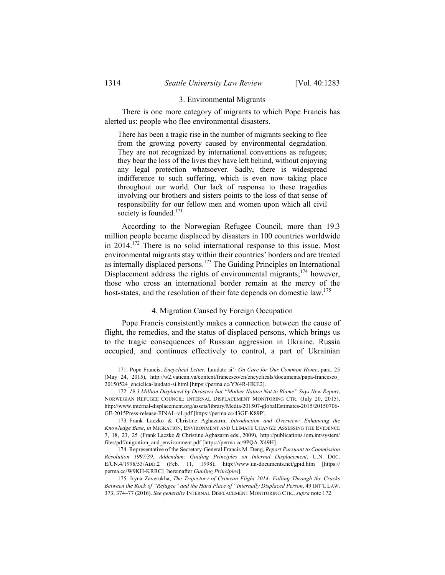#### 3. Environmental Migrants

There is one more category of migrants to which Pope Francis has alerted us: people who flee environmental disasters.

There has been a tragic rise in the number of migrants seeking to flee from the growing poverty caused by environmental degradation. They are not recognized by international conventions as refugees; they bear the loss of the lives they have left behind, without enjoying any legal protection whatsoever. Sadly, there is widespread indifference to such suffering, which is even now taking place throughout our world. Our lack of response to these tragedies involving our brothers and sisters points to the loss of that sense of responsibility for our fellow men and women upon which all civil society is founded.<sup>171</sup>

According to the Norwegian Refugee Council, more than 19.3 million people became displaced by disasters in 100 countries worldwide in 2014.172 There is no solid international response to this issue. Most environmental migrants stay within their countries' borders and are treated as internally displaced persons.173 The Guiding Principles on International Displacement address the rights of environmental migrants;<sup>174</sup> however, those who cross an international border remain at the mercy of the host-states, and the resolution of their fate depends on domestic law.<sup>175</sup>

#### 4. Migration Caused by Foreign Occupation

Pope Francis consistently makes a connection between the cause of flight, the remedies, and the status of displaced persons, which brings us to the tragic consequences of Russian aggression in Ukraine. Russia occupied, and continues effectively to control, a part of Ukrainian

 <sup>171.</sup> Pope Francis, *Encyclical Letter*, Laudato si'*: On Care for Our Common Home*, para. 25 (May 24, 2015), http://w2.vatican.va/content/francesco/en/encyclicals/documents/papa-francesco\_ 20150524\_enciclica-laudato-si.html [https://perma.cc/YX4R-HKE2].

<sup>172</sup>*. 19.3 Million Displaced by Disasters but "Mother Nature Not to Blame" Says New Report*, NORWEGIAN REFUGEE COUNCIL: INTERNAL DISPLACEMENT MONITORING CTR. (July 20, 2015), http://www.internal-displacement.org/assets/library/Media/201507-globalEstimates-2015/20150706- GE-2015Press-release-FINAL-v1.pdf [https://perma.cc/43GF-K89P].

 <sup>173.</sup> Frank Laczko & Christine Aghazarm, *Introduction and Overview: Enhancing the Knowledge Base*, *in* MIGRATION, ENVIRONMENT AND CLIMATE CHANGE: ASSESSING THE EVIDENCE 7, 18, 23, 25 (Frank Laczko & Christine Aghazarm eds., 2009), http://publications.iom.int/system/ files/pdf/migration\_and\_environment.pdf [https://perma.cc/9PQA-X49H].

 <sup>174.</sup> Representative of the Secretary-General Francis M. Deng, *Report Pursuant to Commission Resolution 1997/39, Addendum: Guiding Principles on Internal Displacement*, U.N. DOC. E/CN.4/1998/53/ADD.2 (Feb. 11, 1998), http://www.un-documents.net/gpid.htm [https:// perma.cc/W9KH-KRRC] [hereinafter *Guiding Principles*].

 <sup>175.</sup> Iryna Zaverukha, *The Trajectory of Crimean Flight 2014: Falling Through the Cracks Between the Rock of "Refugee" and the Hard Place of "Internally Displaced Person*, 49 INT'L LAW. 373, 374–77 (2016). *See generally* INTERNAL DISPLACEMENT MONITORING CTR., *supra* note 172.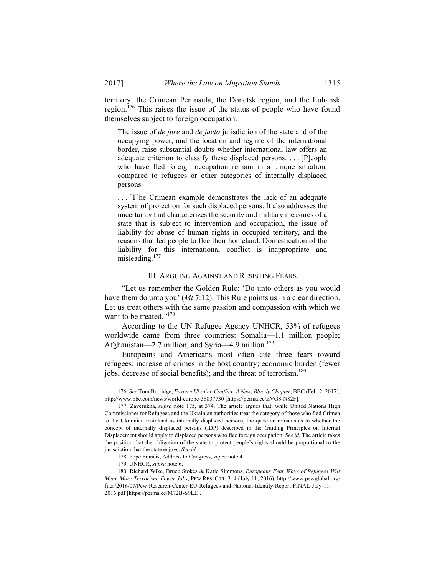territory: the Crimean Peninsula, the Donetsk region, and the Luhansk region.176 This raises the issue of the status of people who have found themselves subject to foreign occupation.

The issue of *de jure* and *de facto* jurisdiction of the state and of the occupying power, and the location and regime of the international border, raise substantial doubts whether international law offers an adequate criterion to classify these displaced persons. . . . [P]eople who have fled foreign occupation remain in a unique situation, compared to refugees or other categories of internally displaced persons.

. . . [T]he Crimean example demonstrates the lack of an adequate system of protection for such displaced persons. It also addresses the uncertainty that characterizes the security and military measures of a state that is subject to intervention and occupation, the issue of liability for abuse of human rights in occupied territory, and the reasons that led people to flee their homeland. Domestication of the liability for this international conflict is inappropriate and misleading. $177$ 

#### III. ARGUING AGAINST AND RESISTING FEARS

"Let us remember the Golden Rule: 'Do unto others as you would have them do unto you' (*Mt* 7:12). This Rule points us in a clear direction. Let us treat others with the same passion and compassion with which we want to be treated."<sup>178</sup>

According to the UN Refugee Agency UNHCR, 53% of refugees worldwide came from three countries: Somalia—1.1 million people; Afghanistan—2.7 million; and Syria—4.9 million.<sup>179</sup>

Europeans and Americans most often cite three fears toward refugees: increase of crimes in the host country; economic burden (fewer jobs, decrease of social benefits); and the threat of terrorism.<sup>180</sup>

 <sup>176</sup>*. See* Tom Burridge, *Eastern Ukraine Conflict: A New, Bloody Chapter*, BBC (Feb. 2, 2017), http://www.bbc.com/news/world-europe-38837730 [https://perma.cc/ZVG8-N82F].

 <sup>177.</sup> Zaverukha, *supra* note 175, at 374. The article argues that, while United Nations High Commissioner for Refugees and the Ukrainian authorities treat the category of those who fled Crimea to the Ukrainian mainland as internally displaced persons, the question remains as to whether the concept of internally displaced persons (IDP) described in the Guiding Principles on Internal Displacement should apply to displaced persons who flee foreign occupation. *See id.* The article takes the position that the obligation of the state to protect people's rights should be proportional to the jurisdiction that the state enjoys. *See id.*

 <sup>178.</sup> Pope Francis, Address to Congress, *supra* note 4.

 <sup>179.</sup> UNHCR, *supra* note 6.

 <sup>180.</sup> Richard Wike, Bruce Stokes & Katie Simmons, *Europeans Fear Wave of Refugees Will Mean More Terrorism, Fewer Jobs*, PEW RES. CTR. 3–4 (July 11, 2016), http://www.pewglobal.org/ files/2016/07/Pew-Research-Center-EU-Refugees-and-National-Identity-Report-FINAL-July-11- 2016.pdf [https://perma.cc/M72B-S9LE].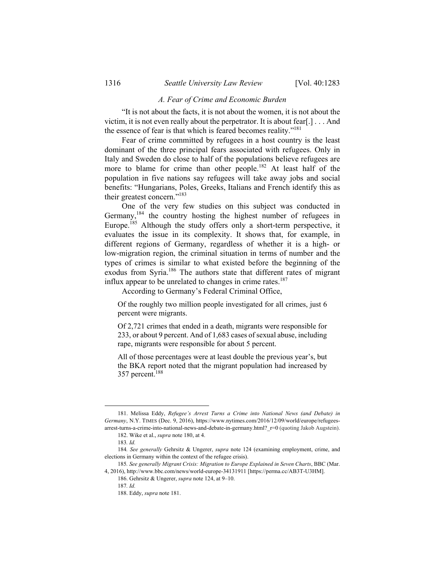## *A. Fear of Crime and Economic Burden*

"It is not about the facts, it is not about the women, it is not about the victim, it is not even really about the perpetrator. It is about fear[.] . . . And the essence of fear is that which is feared becomes reality."<sup>181</sup>

Fear of crime committed by refugees in a host country is the least dominant of the three principal fears associated with refugees. Only in Italy and Sweden do close to half of the populations believe refugees are more to blame for crime than other people.<sup>182</sup> At least half of the population in five nations say refugees will take away jobs and social benefits: "Hungarians, Poles, Greeks, Italians and French identify this as their greatest concern."<sup>183</sup>

One of the very few studies on this subject was conducted in Germany,<sup>184</sup> the country hosting the highest number of refugees in Europe.<sup>185</sup> Although the study offers only a short-term perspective, it evaluates the issue in its complexity. It shows that, for example, in different regions of Germany, regardless of whether it is a high- or low-migration region, the criminal situation in terms of number and the types of crimes is similar to what existed before the beginning of the exodus from Syria.<sup>186</sup> The authors state that different rates of migrant influx appear to be unrelated to changes in crime rates.<sup>187</sup>

According to Germany's Federal Criminal Office,

Of the roughly two million people investigated for all crimes, just 6 percent were migrants.

Of 2,721 crimes that ended in a death, migrants were responsible for 233, or about 9 percent. And of 1,683 cases of sexual abuse, including rape, migrants were responsible for about 5 percent.

All of those percentages were at least double the previous year's, but the BKA report noted that the migrant population had increased by 357 percent.188

 <sup>181.</sup> Melissa Eddy, *Refugee's Arrest Turns a Crime into National News (and Debate) in Germany*, N.Y. TIMES (Dec. 9, 2016), https://www.nytimes.com/2016/12/09/world/europe/refugeesarrest-turns-a-crime-into-national-news-and-debate-in-germany.html? r=0 (quoting Jakob Augstein).

 <sup>182.</sup> Wike et al., *supra* note 180, at 4.

<sup>183</sup>*. Id.*

<sup>184</sup>*. See generally* Gehrsitz & Ungerer, *supra* note 124 (examining employment, crime, and elections in Germany within the context of the refugee crisis).

<sup>185</sup>*. See generally Migrant Crisis: Migration to Europe Explained in Seven Charts*, BBC (Mar. 4, 2016), http://www.bbc.com/news/world-europe-34131911 [https://perma.cc/AB3T-U3HM].

 <sup>186.</sup> Gehrsitz & Ungerer, *supra* note 124, at 9–10.

<sup>187</sup>*. Id.*

 <sup>188.</sup> Eddy, *supra* note 181.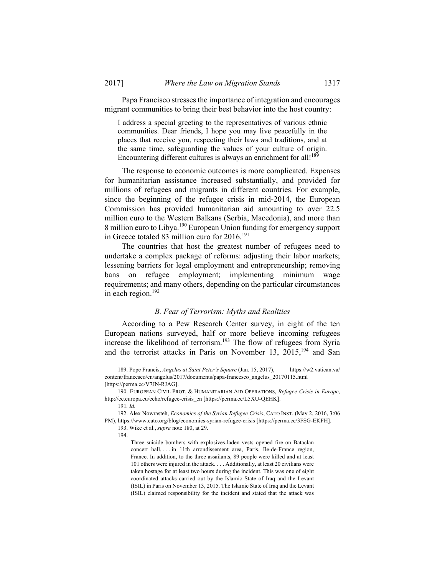Papa Francisco stresses the importance of integration and encourages migrant communities to bring their best behavior into the host country:

I address a special greeting to the representatives of various ethnic communities. Dear friends, I hope you may live peacefully in the places that receive you, respecting their laws and traditions, and at the same time, safeguarding the values of your culture of origin. Encountering different cultures is always an enrichment for all!<sup>189</sup>

The response to economic outcomes is more complicated. Expenses for humanitarian assistance increased substantially, and provided for millions of refugees and migrants in different countries. For example, since the beginning of the refugee crisis in mid-2014, the European Commission has provided humanitarian aid amounting to over 22.5 million euro to the Western Balkans (Serbia, Macedonia), and more than 8 million euro to Libya.<sup>190</sup> European Union funding for emergency support in Greece totaled 83 million euro for  $2016$ <sup>191</sup>

The countries that host the greatest number of refugees need to undertake a complex package of reforms: adjusting their labor markets; lessening barriers for legal employment and entrepreneurship; removing bans on refugee employment; implementing minimum wage requirements; and many others, depending on the particular circumstances in each region. $192$ 

## *B. Fear of Terrorism: Myths and Realities*

According to a Pew Research Center survey, in eight of the ten European nations surveyed, half or more believe incoming refugees increase the likelihood of terrorism.<sup>193</sup> The flow of refugees from Syria and the terrorist attacks in Paris on November 13, 2015,<sup>194</sup> and San

1

193. Wike et al., *supra* note 180, at 29.

 <sup>189.</sup> Pope Francis, *Angelus at Saint Peter's Square* (Jan. 15, 2017), https://w2.vatican.va/ content/francesco/en/angelus/2017/documents/papa-francesco\_angelus\_20170115.html [https://perma.cc/V7JN-RJAG].

 <sup>190.</sup> EUROPEAN CIVIL PROT. & HUMANITARIAN AID OPERATIONS, *Refugee Crisis in Europe*, http://ec.europa.eu/echo/refugee-crisis\_en [https://perma.cc/L5XU-QEHK].

<sup>191</sup>*. Id.*

 <sup>192.</sup> Alex Nowrasteh, *Economics of the Syrian Refugee Crisis*, CATO INST. (May 2, 2016, 3:06 PM), https://www.cato.org/blog/economics-syrian-refugee-crisis [https://perma.cc/3FSG-EKFH].

 <sup>194.</sup> 

Three suicide bombers with explosives-laden vests opened fire on Bataclan concert hall, . . . in 11th arrondissement area, Paris, Ile-de-France region, France. In addition, to the three assailants, 89 people were killed and at least 101 others were injured in the attack. . . . Additionally, at least 20 civilians were taken hostage for at least two hours during the incident. This was one of eight coordinated attacks carried out by the Islamic State of Iraq and the Levant (ISIL) in Paris on November 13, 2015. The Islamic State of Iraq and the Levant (ISIL) claimed responsibility for the incident and stated that the attack was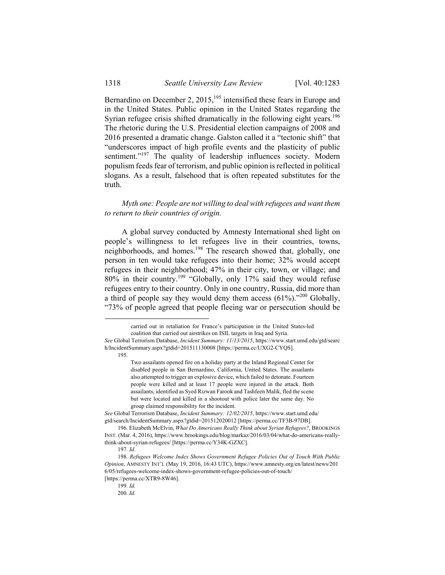Bernardino on December 2, 2015,<sup>195</sup> intensified these fears in Europe and in the United States. Public opinion in the United States regarding the Syrian refugee crisis shifted dramatically in the following eight years.<sup>196</sup> The rhetoric during the U.S. Presidential election campaigns of 2008 and 2016 presented a dramatic change. Galston called it a "tectonic shift" that "underscores impact of high profile events and the plasticity of public sentiment."<sup>197</sup> The quality of leadership influences society. Modern populism feeds fear of terrorism, and public opinion is reflected in political slogans. As a result, falsehood that is often repeated substitutes for the truth.

## *Myth one: People are not willing to deal with refugees and want them to return to their countries of origin.*

A global survey conducted by Amnesty International shed light on people's willingness to let refugees live in their countries, towns, neighborhoods, and homes.<sup>198</sup> The research showed that, globally, one person in ten would take refugees into their home; 32% would accept refugees in their neighborhood; 47% in their city, town, or village; and 80% in their country.199 "Globally, only 17% said they would refuse refugees entry to their country. Only in one country, Russia, did more than a third of people say they would deny them access  $(61\%)$ ."<sup>200</sup> Globally, "73% of people agreed that people fleeing war or persecution should be

carried out in retaliation for France's participation in the United States-led coalition that carried out airstrikes on ISIL targets in Iraq and Syria.

*See* Global Terrorism Database, *Incident Summary: 11/13/2015*, https://www.start.umd.edu/gtd/searc h/IncidentSummary.aspx?gtdid=201511130008 [https://perma.cc/UXG2-CYQS]. 195.

Two assailants opened fire on a holiday party at the Inland Regional Center for disabled people in San Bernardino, California, United States. The assailants also attempted to trigger an explosive device, which failed to detonate. Fourteen people were killed and at least 17 people were injured in the attack. Both assailants, identified as Syed Rizwan Farook and Tashfeen Malik, fled the scene but were located and killed in a shootout with police later the same day. No group claimed responsibility for the incident.

*See* Global Terrorism Database, *Incident Summary: 12/02/2015*, https://www.start.umd.edu/ gtd/search/IncidentSummary.aspx?gtdid=201512020012 [https://perma.cc/TF3B-97DB].

 <sup>196.</sup> Elizabeth McElvin, *What Do Americans Really Think about Syrian Refugees?*, BROOKINGS INST. (Mar. 4, 2016), https://www.brookings.edu/blog/markaz/2016/03/04/what-do-americans-reallythink-about-syrian-refugees/ [https://perma.cc/Y34K-GZXC].

<sup>197</sup>*. Id.*

<sup>198</sup>*. Refugees Welcome Index Shows Government Refugee Policies Out of Touch With Public Opinion*, AMNESTY INT'L (May 19, 2016, 16:43 UTC), https://www.amnesty.org/en/latest/news/201 6/05/refugees-welcome-index-shows-government-refugee-policies-out-of-touch/ [https://perma.cc/XTR9-8W46].

<sup>199</sup>*. Id.*

<sup>200</sup>*. Id.*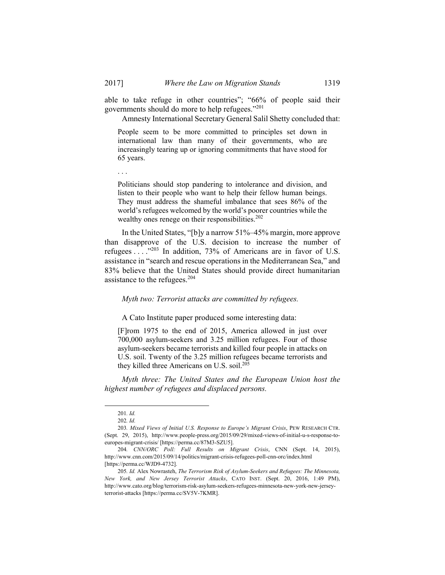able to take refuge in other countries"; "66% of people said their governments should do more to help refugees."<sup>201</sup>

Amnesty International Secretary General Salil Shetty concluded that:

People seem to be more committed to principles set down in international law than many of their governments, who are increasingly tearing up or ignoring commitments that have stood for 65 years.

. . .

Politicians should stop pandering to intolerance and division, and listen to their people who want to help their fellow human beings. They must address the shameful imbalance that sees 86% of the world's refugees welcomed by the world's poorer countries while the wealthy ones renege on their responsibilities.<sup>202</sup>

In the United States, "[b]y a narrow 51%–45% margin, more approve than disapprove of the U.S. decision to increase the number of refugees . . . ."203 In addition, 73% of Americans are in favor of U.S. assistance in "search and rescue operations in the Mediterranean Sea," and 83% believe that the United States should provide direct humanitarian assistance to the refugees.<sup>204</sup>

## *Myth two: Terrorist attacks are committed by refugees.*

A Cato Institute paper produced some interesting data:

[F]rom 1975 to the end of 2015, America allowed in just over 700,000 asylum-seekers and 3.25 million refugees. Four of those asylum-seekers became terrorists and killed four people in attacks on U.S. soil. Twenty of the 3.25 million refugees became terrorists and they killed three Americans on U.S. soil.<sup>205</sup>

*Myth three: The United States and the European Union host the highest number of refugees and displaced persons.* 

 <sup>201</sup>*. Id.*

<sup>202</sup>*. Id.*

<sup>203</sup>*. Mixed Views of Initial U.S. Response to Europe's Migrant Crisis*, PEW RESEARCH CTR. (Sept. 29, 2015), http://www.people-press.org/2015/09/29/mixed-views-of-initial-u-s-response-toeuropes-migrant-crisis/ [https://perma.cc/87M3-SZU5].

<sup>204</sup>*. CNN/ORC Poll: Full Results on Migrant Crisis*, CNN (Sept. 14, 2015), http://www.cnn.com/2015/09/14/politics/migrant-crisis-refugees-poll-cnn-orc/index.html [https://perma.cc/WJD9-4732].

<sup>205</sup>*. Id.* Alex Nowrasteh, *The Terrorism Risk of Asylum-Seekers and Refugees: The Minnesota, New York, and New Jersey Terrorist Attacks*, CATO INST. (Sept. 20, 2016, 1:49 PM), http://www.cato.org/blog/terrorism-risk-asylum-seekers-refugees-minnesota-new-york-new-jerseyterrorist-attacks [https://perma.cc/SV5V-7KMR].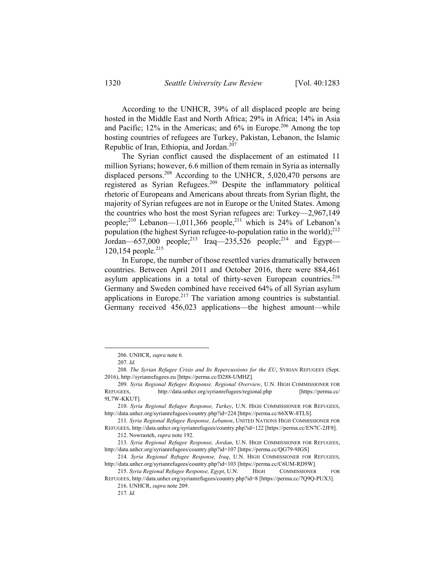According to the UNHCR, 39% of all displaced people are being hosted in the Middle East and North Africa; 29% in Africa; 14% in Asia and Pacific;  $12\%$  in the Americas; and  $6\%$  in Europe.<sup>206</sup> Among the top hosting countries of refugees are Turkey, Pakistan, Lebanon, the Islamic Republic of Iran, Ethiopia, and Jordan.<sup>207</sup>

The Syrian conflict caused the displacement of an estimated 11 million Syrians; however, 6.6 million of them remain in Syria as internally displaced persons.<sup>208</sup> According to the UNHCR, 5,020,470 persons are registered as Syrian Refugees.209 Despite the inflammatory political rhetoric of Europeans and Americans about threats from Syrian flight, the majority of Syrian refugees are not in Europe or the United States. Among the countries who host the most Syrian refugees are: Turkey—2,967,149 people;<sup>210</sup> Lebanon—1,011,366 people,<sup>211</sup> which is 24% of Lebanon's population (the highest Syrian refugee-to-population ratio in the world); $^{212}$ Jordan—657,000 people;<sup>213</sup> Iraq—235,526 people;<sup>214</sup> and Egypt— 120,154 people.<sup>215</sup>

In Europe, the number of those resettled varies dramatically between countries. Between April 2011 and October 2016, there were 884,461 asylum applications in a total of thirty-seven European countries. $216$ Germany and Sweden combined have received 64% of all Syrian asylum applications in Europe.<sup>217</sup> The variation among countries is substantial. Germany received 456,023 applications—the highest amount—while

 <sup>206.</sup> UNHCR, *supra* note 6.

<sup>207</sup>*. Id.*

<sup>208</sup>*. The Syrian Refugee Crisis and Its Repercussions for the EU*, SYRIAN REFUGEES (Sept. 2016), http://syrianrefugees.eu [https://perma.cc/D288-UMHZ].

<sup>209</sup>*. Syria Regional Refugee Response, Regional Overview*, U.N. HIGH COMMISSIONER FOR REFUGEES, http://data.unhcr.org/syrianrefugees/regional.php [https://perma.cc/ 9L7W-KKUT].

<sup>210</sup>*. Syria Regional Refugee Response, Turkey*, U.N. HIGH COMMISSIONER FOR REFUGEES, http://data.unhcr.org/syrianrefugees/country.php?id=224 [https://perma.cc/66XW-8TLS].

<sup>211</sup>*. Syria Regional Refugee Response, Lebanon*, UNITED NATIONS HIGH COMMISSIONER FOR REFUGEES, http://data.unhcr.org/syrianrefugees/country.php?id=122 [https://perma.cc/EN7C-2JF8].

 <sup>212.</sup> Nowrasteh, *supra* note 192.

<sup>213</sup>*. Syria Regional Refugee Response, Jordan*, U.N. HIGH COMMISSIONER FOR REFUGEES, http://data.unhcr.org/syrianrefugees/country.php?id=107 [https://perma.cc/QG79-9JGS]

<sup>214</sup>*. Syria Regional Refugee Response, Iraq*, U.N. HIGH COMMISSIONER FOR REFUGEES, http://data.unhcr.org/syrianrefugees/country.php?id=103 [https://perma.cc/C6UM-RD9W].

 <sup>215.</sup> *Syria Regional Refugee Response, Egypt*, U.N. HIGH COMMISSIONER FOR REFUGEES, http://data.unhcr.org/syrianrefugees/country.php?id=8 [https://perma.cc/7Q9Q-PUX3].

 <sup>216.</sup> UNHCR, *supra* note 209.

<sup>217</sup>*. Id.*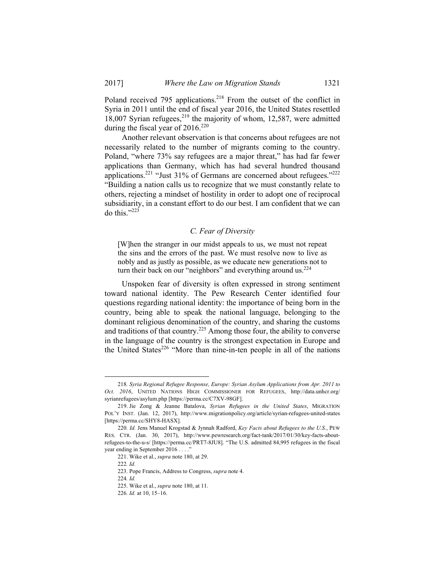Poland received 795 applications.<sup>218</sup> From the outset of the conflict in Syria in 2011 until the end of fiscal year 2016, the United States resettled  $18,007$  Syrian refugees,<sup>219</sup> the majority of whom, 12,587, were admitted during the fiscal year of  $2016$ <sup>220</sup>

Another relevant observation is that concerns about refugees are not necessarily related to the number of migrants coming to the country. Poland, "where 73% say refugees are a major threat," has had far fewer applications than Germany, which has had several hundred thousand applications.<sup>221</sup> "Just  $31\%$  of Germans are concerned about refugees."<sup>222</sup> "Building a nation calls us to recognize that we must constantly relate to others, rejecting a mindset of hostility in order to adopt one of reciprocal subsidiarity, in a constant effort to do our best. I am confident that we can do this."223

#### *C. Fear of Diversity*

[W]hen the stranger in our midst appeals to us, we must not repeat the sins and the errors of the past. We must resolve now to live as nobly and as justly as possible, as we educate new generations not to turn their back on our "neighbors" and everything around us. $224$ 

Unspoken fear of diversity is often expressed in strong sentiment toward national identity. The Pew Research Center identified four questions regarding national identity: the importance of being born in the country, being able to speak the national language, belonging to the dominant religious denomination of the country, and sharing the customs and traditions of that country.225 Among those four, the ability to converse in the language of the country is the strongest expectation in Europe and the United States<sup>226</sup> "More than nine-in-ten people in all of the nations

 <sup>218</sup>*. Syria Regional Refugee Response, Europe: Syrian Asylum Applications from Apr. 2011 to Oct. 2016*, UNITED NATIONS HIGH COMMISSIONER FOR REFUGEES, http://data.unhcr.org/ syrianrefugees/asylum.php [https://perma.cc/C7XV-98GF].

 <sup>219.</sup> Jie Zong & Jeanne Batalova, *Syrian Refugees in the United States*, MIGRATION POL'Y INST. (Jan. 12, 2017), http://www.migrationpolicy.org/article/syrian-refugees-united-states [https://perma.cc/SHY8-HASX].

<sup>220</sup>*. Id.* Jens Manuel Krogstad & Jynnah Radford, *Key Facts about Refugees to the U.S.*, PEW RES. CTR. (Jan. 30, 2017), http://www.pewresearch.org/fact-tank/2017/01/30/key-facts-aboutrefugees-to-the-u-s/ [https://perma.cc/PRT7-8JU8]. "The U.S. admitted 84,995 refugees in the fiscal year ending in September 2016 . . . ."

 <sup>221.</sup> Wike et al., *supra* note 180, at 29.

<sup>222</sup>*. Id.*

 <sup>223.</sup> Pope Francis, Address to Congress, *supra* note 4.

<sup>224</sup>*. Id.*

 <sup>225.</sup> Wike et al., *supra* note 180, at 11.

<sup>226</sup>*. Id.* at 10, 15–16.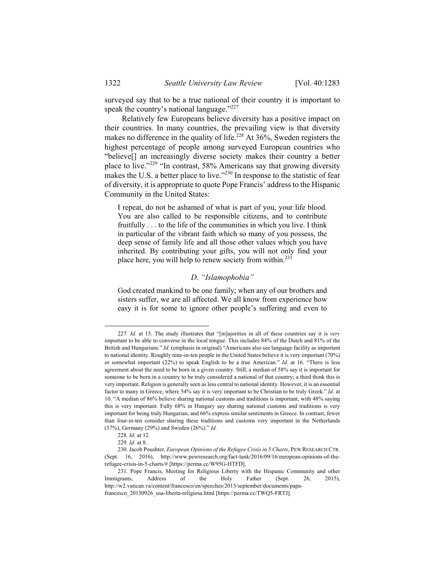surveyed say that to be a true national of their country it is important to speak the country's national language."<sup>227</sup>

Relatively few Europeans believe diversity has a positive impact on their countries. In many countries, the prevailing view is that diversity makes no difference in the quality of life.<sup>228</sup> At  $36\%$ , Sweden registers the highest percentage of people among surveyed European countries who "believe[] an increasingly diverse society makes their country a better place to live."229 "In contrast, 58% Americans say that growing diversity makes the U.S. a better place to live."<sup>230</sup> In response to the statistic of fear of diversity, it is appropriate to quote Pope Francis' address to the Hispanic Community in the United States:

I repeat, do not be ashamed of what is part of you, your life blood. You are also called to be responsible citizens, and to contribute fruitfully . . . to the life of the communities in which you live. I think in particular of the vibrant faith which so many of you possess, the deep sense of family life and all those other values which you have inherited. By contributing your gifts, you will not only find your place here, you will help to renew society from within.<sup>231</sup>

## *D. "Islamophobia"*

God created mankind to be one family; when any of our brothers and sisters suffer, we are all affected. We all know from experience how easy it is for some to ignore other people's suffering and even to

 <sup>227</sup>*. Id.* at 15. The study illustrates that "[m]ajorities in all of these countries say it is *very* important to be able to converse in the local tongue. This includes 84% of the Dutch and 81% of the British and Hungarians." *Id.* (emphasis in original) "Americans also see language facility as important to national identity. Roughly nine-in-ten people in the United States believe it is very important (70%) or somewhat important (22%) to speak English to be a true American." *Id.* at 16. "There is less agreement about the need to be born in a given country. Still, a median of 58% say it is important for someone to be born in a country to be truly considered a national of that country; a third think this is very important. Religion is generally seen as less central to national identity. However, it is an essential factor to many in Greece, where 54% say it is very important to be Christian to be truly Greek." *Id.* at 10. "A median of 86% believe sharing national customs and traditions is important, with 48% saying this is very important. Fully 68% in Hungary say sharing national customs and traditions is very important for being truly Hungarian, and 66% express similar sentiments in Greece. In contrast, fewer than four-in-ten consider sharing these traditions and customs very important in the Netherlands (37%), Germany (29%) and Sweden (26%)." *Id.*

<sup>228</sup>*. Id.* at 12.

<sup>229</sup>*. Id.* at 8.

 <sup>230.</sup> Jacob Poushter, *European Opinions of the Refugee Crisis in 5 Charts*, PEW RESEARCH CTR. (Sept. 16, 2016), http://www.pewresearch.org/fact-tank/2016/09/16/european-opinions-of-therefugee-crisis-in-5-charts/# [https://perma.cc/W95G-HTFD].

 <sup>231.</sup> Pope Francis, Meeting for Religious Liberty with the Hispanic Community and other Immigrants, Address of the Holy Father (Sept. 26, 2015), http://w2.vatican.va/content/francesco/en/speeches/2015/september/documents/papafrancesco\_20150926\_usa-liberta-religiosa.html [https://perma.cc/TWQ5-FRTJ].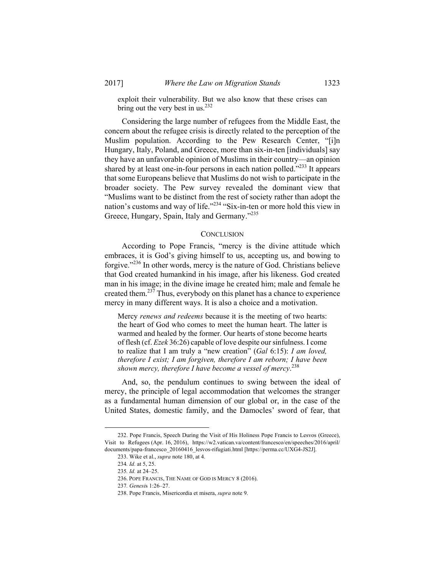exploit their vulnerability. But we also know that these crises can bring out the very best in us.<sup>232</sup>

Considering the large number of refugees from the Middle East, the concern about the refugee crisis is directly related to the perception of the Muslim population. According to the Pew Research Center, "[i]n Hungary, Italy, Poland, and Greece, more than six-in-ten [individuals] say they have an unfavorable opinion of Muslims in their country—an opinion shared by at least one-in-four persons in each nation polled."<sup>233</sup> It appears that some Europeans believe that Muslims do not wish to participate in the broader society. The Pew survey revealed the dominant view that "Muslims want to be distinct from the rest of society rather than adopt the nation's customs and way of life."234 "Six-in-ten or more hold this view in Greece, Hungary, Spain, Italy and Germany."235

#### **CONCLUSION**

According to Pope Francis, "mercy is the divine attitude which embraces, it is God's giving himself to us, accepting us, and bowing to forgive."236 In other words, mercy is the nature of God. Christians believe that God created humankind in his image, after his likeness. God created man in his image; in the divine image he created him; male and female he created them.<sup>237</sup> Thus, everybody on this planet has a chance to experience mercy in many different ways. It is also a choice and a motivation.

Mercy *renews and redeems* because it is the meeting of two hearts: the heart of God who comes to meet the human heart. The latter is warmed and healed by the former. Our hearts of stone become hearts of flesh (cf. *Ezek* 36:26) capable of love despite our sinfulness. I come to realize that I am truly a "new creation" (*Gal* 6:15): *I am loved, therefore I exist; I am forgiven, therefore I am reborn; I have been shown mercy, therefore I have become a vessel of mercy*. 238

And, so, the pendulum continues to swing between the ideal of mercy, the principle of legal accommodation that welcomes the stranger as a fundamental human dimension of our global or, in the case of the United States, domestic family, and the Damocles' sword of fear, that

 <sup>232.</sup> Pope Francis, Speech During the Visit of His Holiness Pope Francis to Lesvos (Greece), Visit to Refugees (Apr. 16, 2016), https://w2.vatican.va/content/francesco/en/speeches/2016/april/ documents/papa-francesco\_20160416\_lesvos-rifugiati.html [https://perma.cc/UXG4-JS2J].

 <sup>233.</sup> Wike et al., *supra* note 180, at 4.

<sup>234</sup>*. Id.* at 5, 25.

<sup>235</sup>*. Id.* at 24–25.

 <sup>236.</sup> POPE FRANCIS, THE NAME OF GOD IS MERCY 8 (2016).

<sup>237</sup>*. Genesi*s 1:26–27.

 <sup>238.</sup> Pope Francis, Misericordia et misera, *supra* note 9.